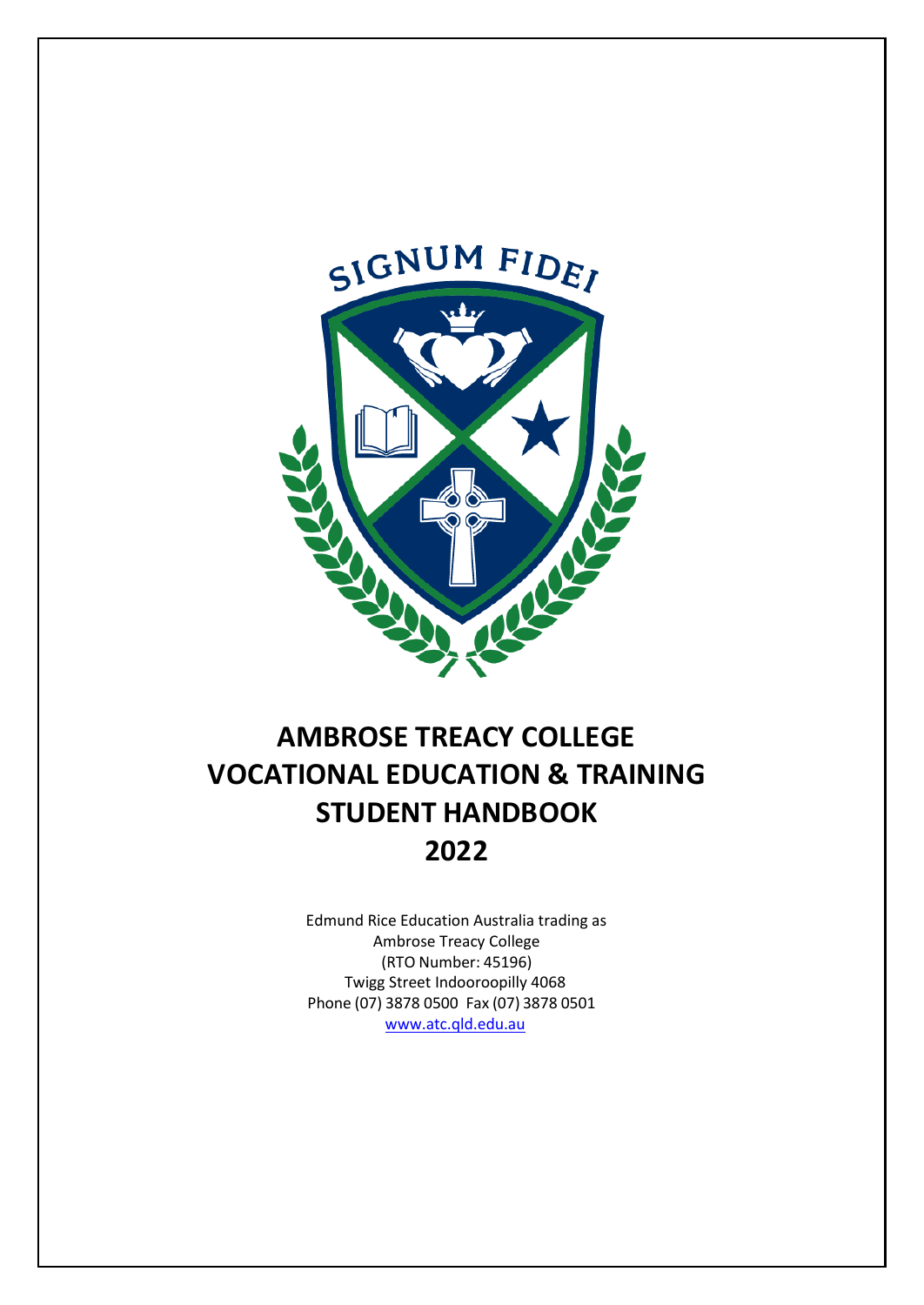

# **AMBROSE TREACY COLLEGE VOCATIONAL EDUCATION & TRAINING STUDENT HANDBOOK 2022**

Edmund Rice Education Australia trading as Ambrose Treacy College (RTO Number: 45196) Twigg Street Indooroopilly 4068 Phone (07) 3878 0500 Fax (07) 3878 0501 [www.atc.qld.edu.](http://www.atc.qld.edu/)au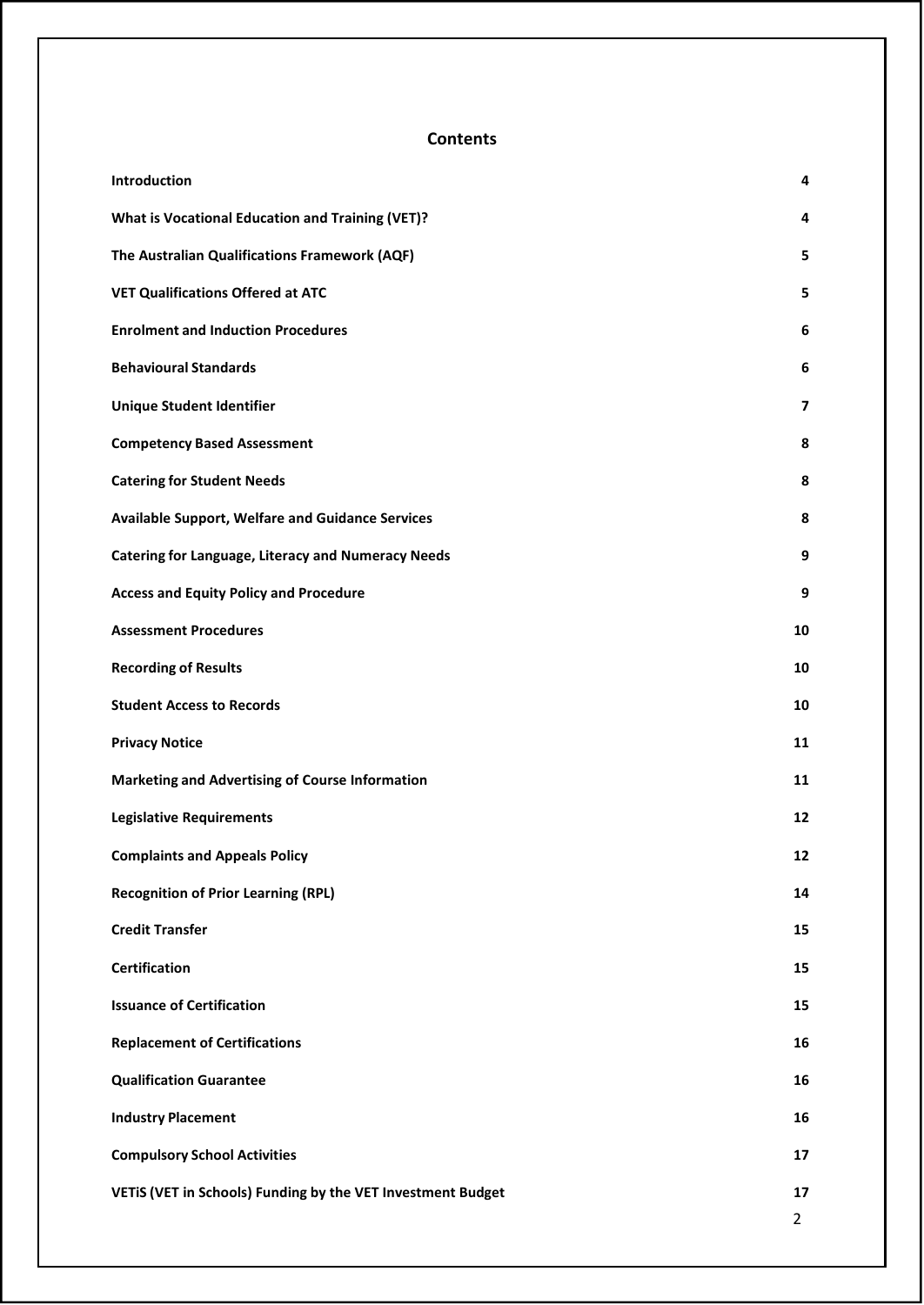# **Contents**

| Introduction                                                | 4              |
|-------------------------------------------------------------|----------------|
| <b>What is Vocational Education and Training (VET)?</b>     | 4              |
| The Australian Qualifications Framework (AQF)               | 5              |
| <b>VET Qualifications Offered at ATC</b>                    | 5              |
| <b>Enrolment and Induction Procedures</b>                   | 6              |
| <b>Behavioural Standards</b>                                | 6              |
| <b>Unique Student Identifier</b>                            | $\overline{ }$ |
| <b>Competency Based Assessment</b>                          | 8              |
| <b>Catering for Student Needs</b>                           | 8              |
| <b>Available Support, Welfare and Guidance Services</b>     | 8              |
| <b>Catering for Language, Literacy and Numeracy Needs</b>   | 9              |
| <b>Access and Equity Policy and Procedure</b>               | 9              |
| <b>Assessment Procedures</b>                                | 10             |
| <b>Recording of Results</b>                                 | 10             |
| <b>Student Access to Records</b>                            | 10             |
| <b>Privacy Notice</b>                                       | 11             |
| <b>Marketing and Advertising of Course Information</b>      | 11             |
| <b>Legislative Requirements</b>                             | 12             |
| <b>Complaints and Appeals Policy</b>                        | 12             |
| <b>Recognition of Prior Learning (RPL)</b>                  | 14             |
| <b>Credit Transfer</b>                                      | 15             |
| <b>Certification</b>                                        | 15             |
| <b>Issuance of Certification</b>                            | 15             |
| <b>Replacement of Certifications</b>                        | 16             |
| <b>Qualification Guarantee</b>                              | 16             |
| <b>Industry Placement</b>                                   | 16             |
| <b>Compulsory School Activities</b>                         | 17             |
| VETIS (VET in Schools) Funding by the VET Investment Budget | 17             |
|                                                             | $\overline{2}$ |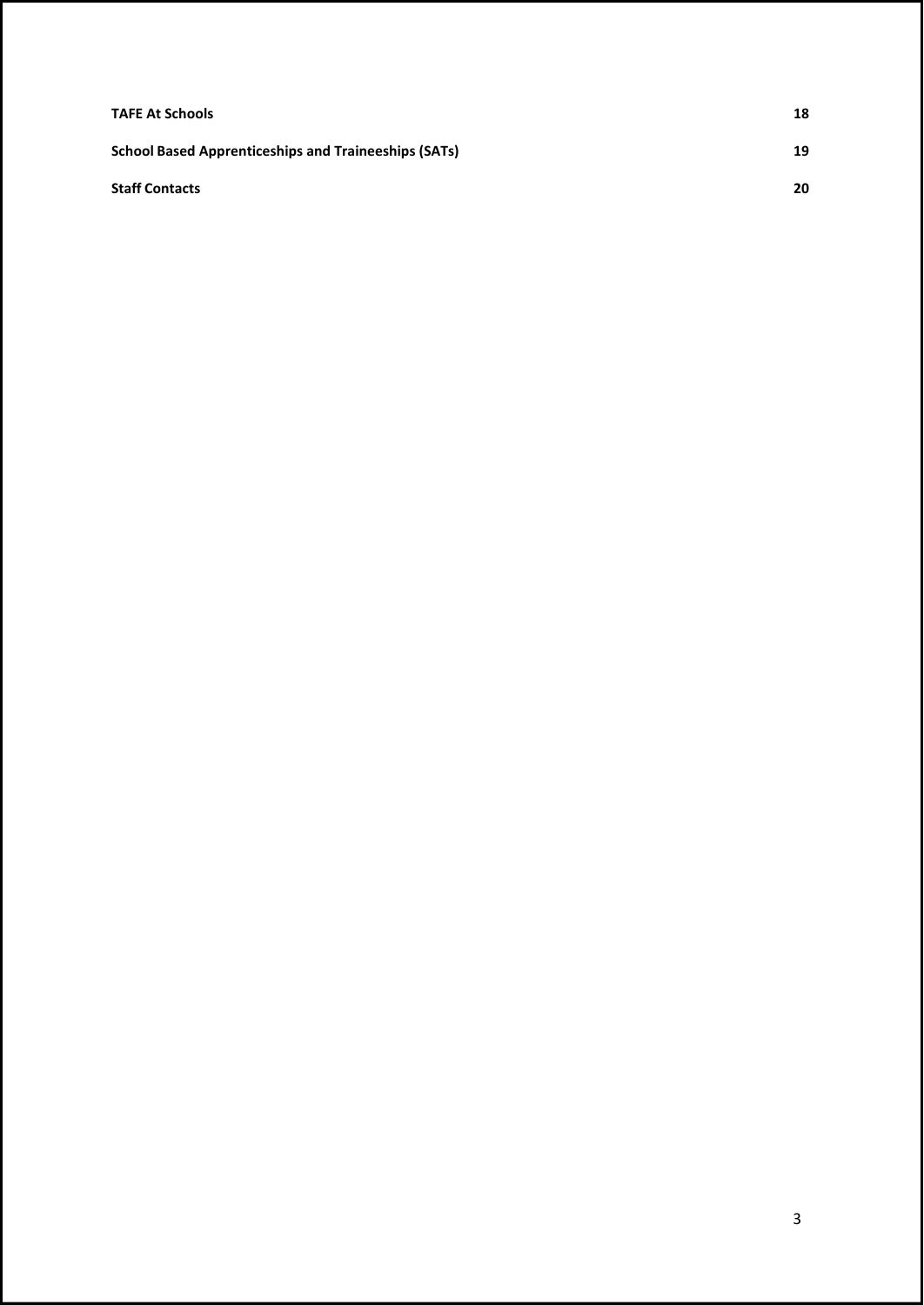| <b>TAFE At Schools</b>                                      | 18 |
|-------------------------------------------------------------|----|
| <b>School Based Apprenticeships and Traineeships (SATs)</b> | 19 |
| <b>Staff Contacts</b>                                       | 20 |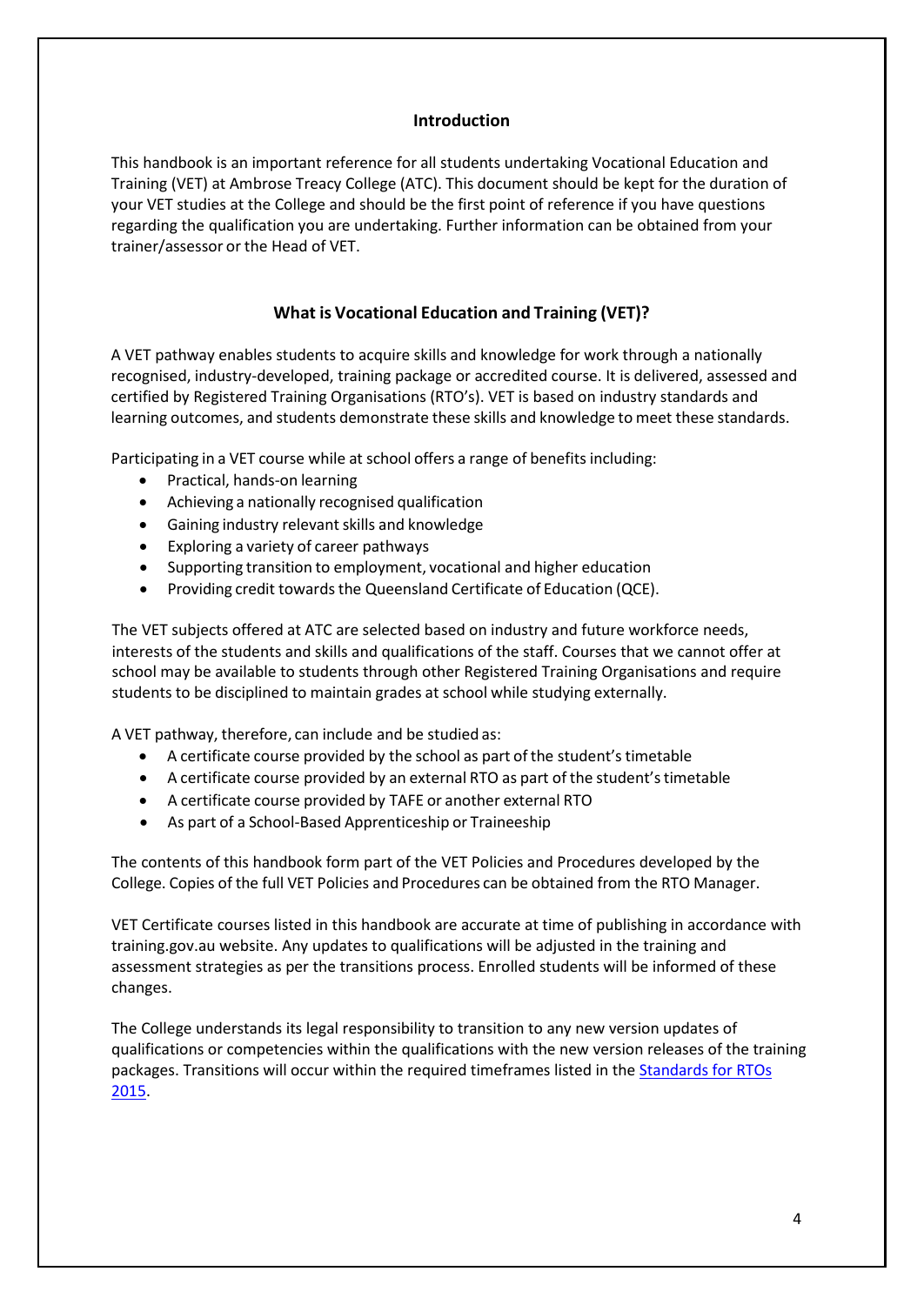#### **Introduction**

<span id="page-3-0"></span>This handbook is an important reference for all students undertaking Vocational Education and Training (VET) at Ambrose Treacy College (ATC). This document should be kept for the duration of your VET studies at the College and should be the first point of reference if you have questions regarding the qualification you are undertaking. Further information can be obtained from your trainer/assessor or the Head of VET.

# **What is Vocational Education and Training (VET)?**

<span id="page-3-1"></span>A VET pathway enables students to acquire skills and knowledge for work through a nationally recognised, industry-developed, training package or accredited course. It is delivered, assessed and certified by Registered Training Organisations (RTO's). VET is based on industry standards and learning outcomes, and students demonstrate these skills and knowledge to meet these standards.

Participating in a VET course while at school offers a range of benefits including:

- Practical, hands-on learning
- Achieving a nationally recognised qualification
- Gaining industry relevant skills and knowledge
- Exploring a variety of career pathways
- Supporting transition to employment, vocational and higher education
- Providing credit towards the Queensland Certificate of Education (QCE).

The VET subjects offered at ATC are selected based on industry and future workforce needs, interests of the students and skills and qualifications of the staff. Courses that we cannot offer at school may be available to students through other Registered Training Organisations and require students to be disciplined to maintain grades at school while studying externally.

A VET pathway, therefore, can include and be studied as:

- A certificate course provided by the school as part of the student's timetable
- A certificate course provided by an external RTO as part of the student's timetable
- A certificate course provided by TAFE or another external RTO
- As part of a School-Based Apprenticeship or Traineeship

The contents of this handbook form part of the VET Policies and Procedures developed by the College. Copies of the full VET Policies and Procedures can be obtained from the RTO Manager.

VET Certificate courses listed in this handbook are accurate at time of publishing in accordance with training.gov.au website. Any updates to qualifications will be adjusted in the training and assessment strategies as per the transitions process. Enrolled students will be informed of these changes.

The College understands its legal responsibility to transition to any new version updates of qualifications or competencies within the qualifications with the new version releases of the training packages. Transitions will occur within the required timeframes listed in the [Standards for RTOs](https://www.asqa.gov.au/about/asqa/key-legislation/standards-rtos) [2015.](https://www.asqa.gov.au/about/asqa/key-legislation/standards-rtos)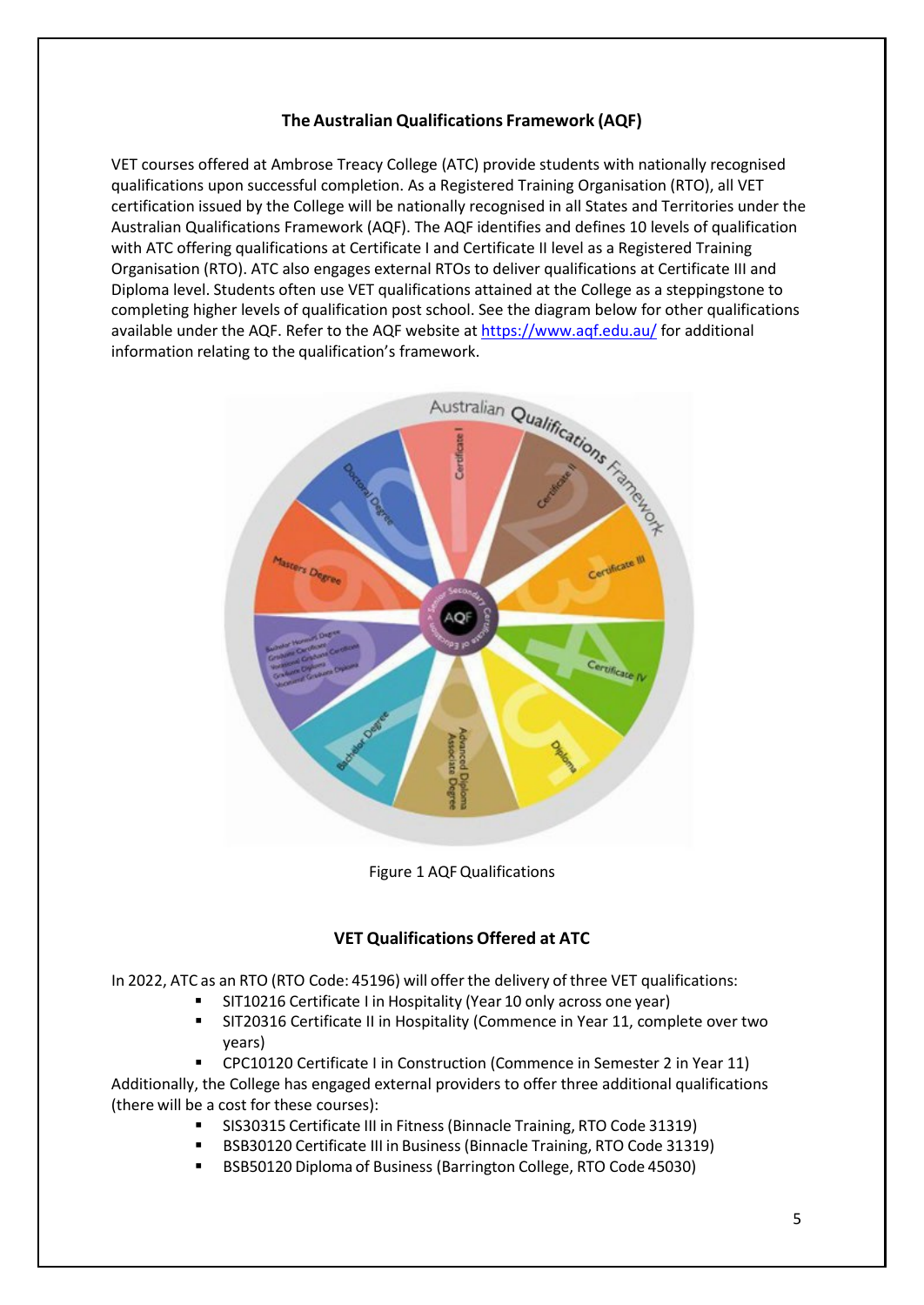# **The Australian Qualifications Framework (AQF)**

<span id="page-4-0"></span>VET courses offered at Ambrose Treacy College (ATC) provide students with nationally recognised qualifications upon successful completion. As a Registered Training Organisation (RTO), all VET certification issued by the College will be nationally recognised in all States and Territories under the Australian Qualifications Framework (AQF). The AQF identifies and defines 10 levels of qualification with ATC offering qualifications at Certificate I and Certificate II level as a Registered Training Organisation (RTO). ATC also engages external RTOs to deliver qualifications at Certificate III and Diploma level. Students often use VET qualifications attained at the College as a steppingstone to completing higher levels of qualification post school. See the diagram below for other qualifications available under the AQF. Refer to the AQF website at<https://www.aqf.edu.au/> for additional



Figure 1 AQFQualifications

# **VET Qualifications Offered at ATC**

<span id="page-4-1"></span>In 2022, ATC as an RTO (RTO Code: 45196) will offer the delivery of three VET qualifications:

- SIT10216 Certificate I in Hospitality (Year 10 only across one year)
- SIT20316 Certificate II in Hospitality (Commence in Year 11, complete over two years)

CPC10120 Certificate I in Construction (Commence in Semester 2 in Year 11)

Additionally, the College has engaged external providers to offer three additional qualifications (there will be a cost for these courses):

- SIS30315 Certificate III in Fitness(Binnacle Training, RTO Code 31319)
- BSB30120 Certificate III in Business (Binnacle Training, RTO Code 31319)
- BSB50120 Diploma of Business (Barrington College, RTO Code 45030)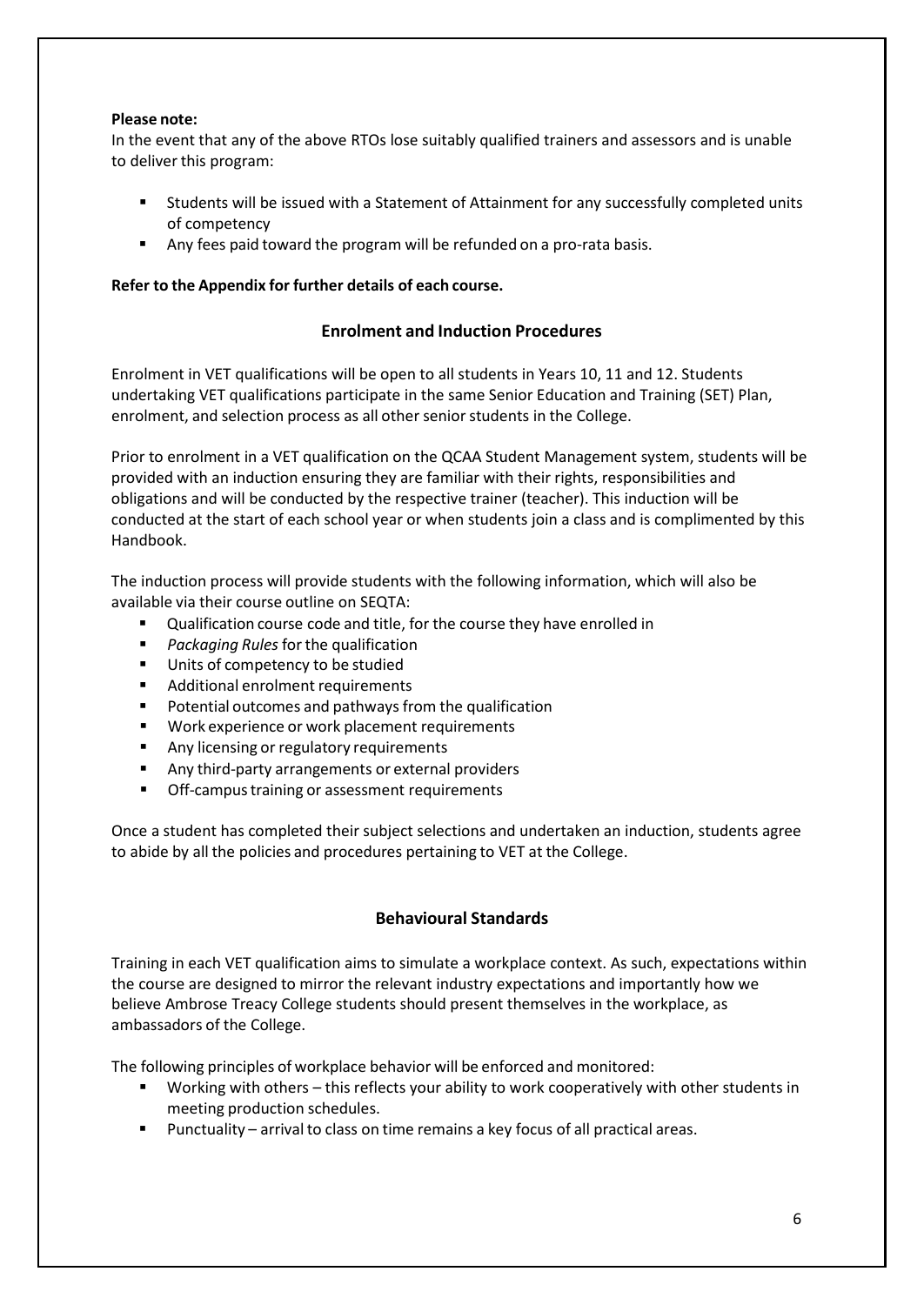#### **Please note:**

In the event that any of the above RTOs lose suitably qualified trainers and assessors and is unable to deliver this program:

- Students will be issued with a Statement of Attainment for any successfully completed units of competency
- Any fees paid toward the program will be refunded on a pro-rata basis.

# <span id="page-5-0"></span>**Refer to the Appendix for further details of each course.**

# **Enrolment and Induction Procedures**

Enrolment in VET qualifications will be open to all students in Years 10, 11 and 12. Students undertaking VET qualifications participate in the same Senior Education and Training (SET) Plan, enrolment, and selection process as all other senior students in the College.

Prior to enrolment in a VET qualification on the QCAA Student Management system, students will be provided with an induction ensuring they are familiar with their rights, responsibilities and obligations and will be conducted by the respective trainer (teacher). This induction will be conducted at the start of each school year or when students join a class and is complimented by this Handbook.

The induction process will provide students with the following information, which will also be available via their course outline on SEQTA:

- Qualification course code and title, for the course they have enrolled in
- *Packaging Rules* forthe qualification
- Units of competency to be studied
- **Additional enrolment requirements**
- **P** Potential outcomes and pathways from the qualification
- **Work experience or work placement requirements**
- Any licensing or regulatory requirements
- Any third-party arrangements or external providers
- **•** Off-campus training or assessment requirements

Once a student has completed their subject selections and undertaken an induction, students agree to abide by all the policies and procedures pertaining to VET at the College.

# **Behavioural Standards**

<span id="page-5-1"></span>Training in each VET qualification aims to simulate a workplace context. As such, expectations within the course are designed to mirror the relevant industry expectations and importantly how we believe Ambrose Treacy College students should present themselves in the workplace, as ambassadors of the College.

The following principles of workplace behavior will be enforced and monitored:

- Working with others this reflects your ability to work cooperatively with other students in meeting production schedules.
- Punctuality arrival to class on time remains a key focus of all practical areas.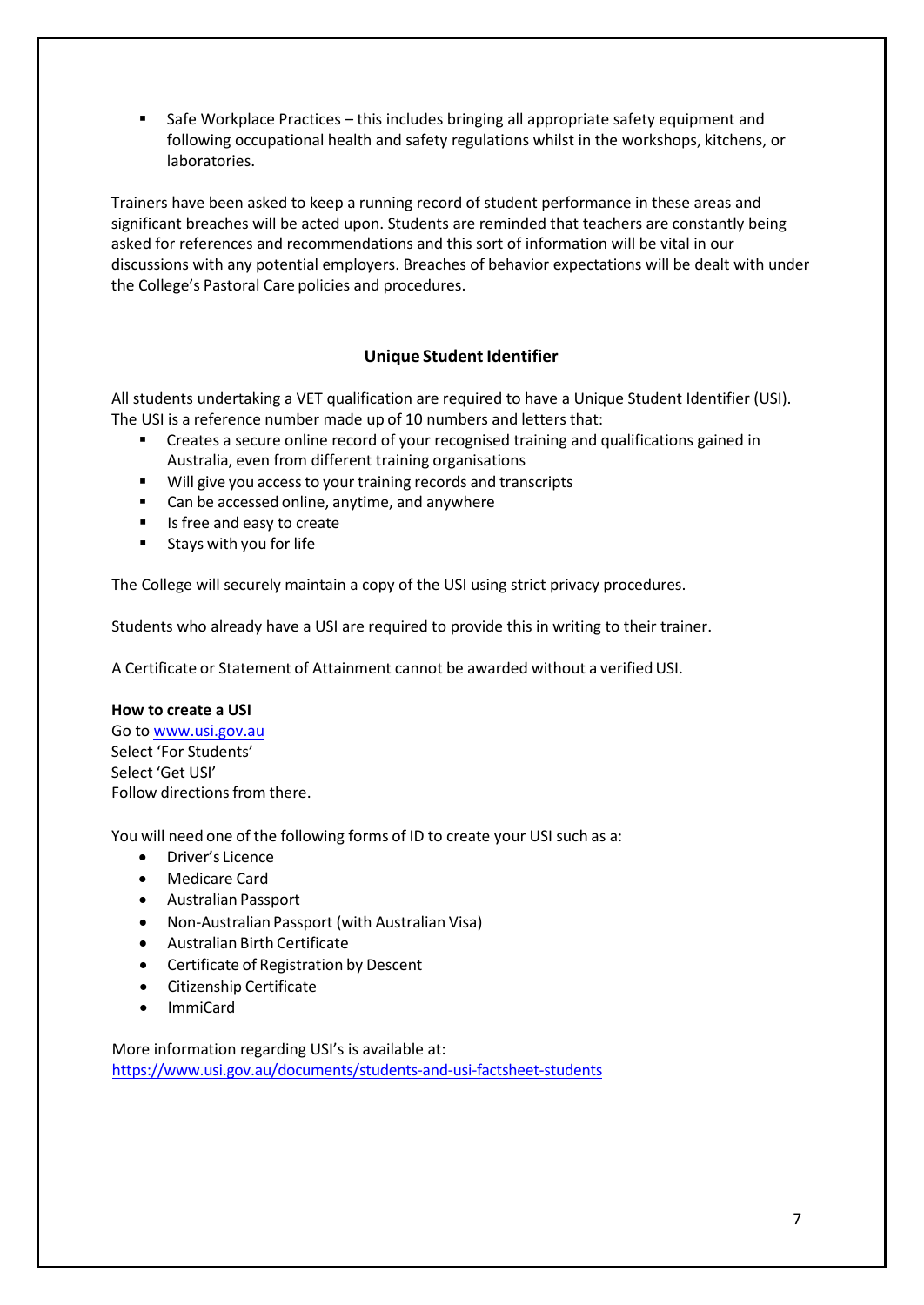Safe Workplace Practices – this includes bringing all appropriate safety equipment and following occupational health and safety regulations whilst in the workshops, kitchens, or laboratories.

Trainers have been asked to keep a running record of student performance in these areas and significant breaches will be acted upon. Students are reminded that teachers are constantly being asked for references and recommendations and this sort of information will be vital in our discussions with any potential employers. Breaches of behavior expectations will be dealt with under the College's Pastoral Care policies and procedures.

# **Unique Student Identifier**

<span id="page-6-0"></span>All students undertaking a VET qualification are required to have a Unique Student Identifier (USI). The USI is a reference number made up of 10 numbers and letters that:

- Creates a secure online record of your recognised training and qualifications gained in Australia, even from different training organisations
- Will give you access to your training records and transcripts
- Can be accessed online, anytime, and anywhere
- Is free and easy to create
- $\blacksquare$  Stays with you for life

The College will securely maintain a copy of the USI using strict privacy procedures.

Students who already have a USI are required to provide this in writing to their trainer.

A Certificate or Statement of Attainment cannot be awarded without a verifiedUSI.

#### **How to create a USI**

Go to [www.usi.gov.au](http://www.usi.gov.au/) Select 'For Students' Select 'Get USI' Follow directions from there.

You will need one of the following forms of ID to create your USI such as a:

- Driver's Licence
- Medicare Card
- Australian Passport
- Non-Australian Passport (with Australian Visa)
- Australian Birth Certificate
- Certificate of Registration by Descent
- Citizenship Certificate
- ImmiCard

More information regarding USI's is available at: <https://www.usi.gov.au/documents/students-and-usi-factsheet-students>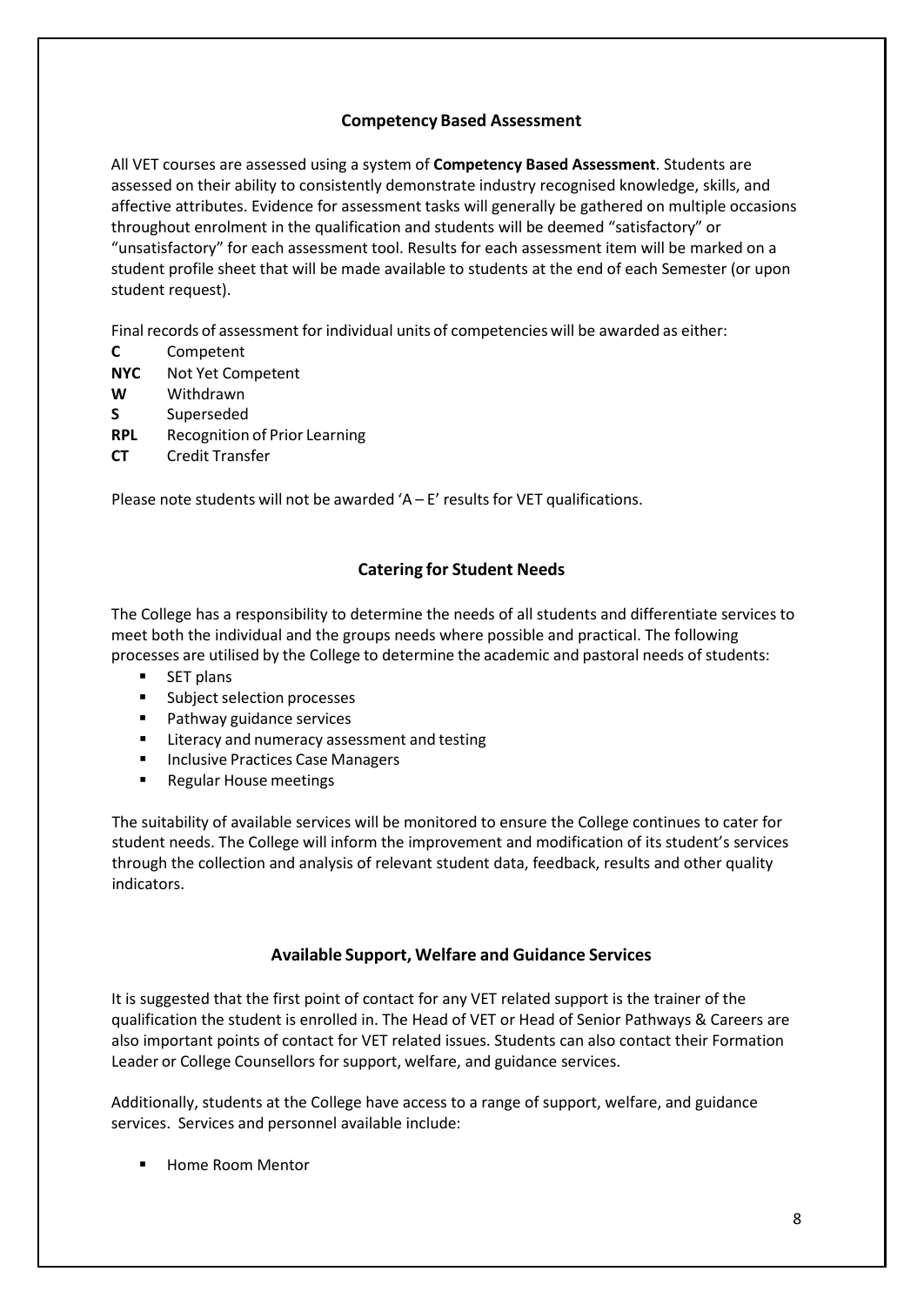# **Competency Based Assessment**

<span id="page-7-0"></span>All VET courses are assessed using a system of **Competency Based Assessment**. Students are assessed on their ability to consistently demonstrate industry recognised knowledge, skills, and affective attributes. Evidence for assessment tasks will generally be gathered on multiple occasions throughout enrolment in the qualification and students will be deemed "satisfactory" or "unsatisfactory" for each assessment tool. Results for each assessment item will be marked on a student profile sheet that will be made available to students at the end of each Semester (or upon student request).

Final records of assessment for individual units of competencies will be awarded as either:

- **C** Competent
- **NYC** Not Yet Competent
- **W** Withdrawn
- **S** Superseded
- **RPL** Recognition of Prior Learning
- **CT** Credit Transfer

Please note students will not be awarded ' $A - E'$  results for VET qualifications.

# **Catering for Student Needs**

<span id="page-7-1"></span>The College has a responsibility to determine the needs of all students and differentiate services to meet both the individual and the groups needs where possible and practical. The following processes are utilised by the College to determine the academic and pastoral needs of students:

- SET plans
- **Subject selection processes**
- Pathway guidance services
- Literacy and numeracy assessment and testing
- **Inclusive Practices Case Managers**
- **Regular House meetings**

The suitability of available services will be monitored to ensure the College continues to cater for student needs. The College will inform the improvement and modification of its student's services through the collection and analysis of relevant student data, feedback, results and other quality indicators.

## **Available Support, Welfare and Guidance Services**

<span id="page-7-2"></span>It is suggested that the first point of contact for any VET related support is the trainer of the qualification the student is enrolled in. The Head of VET or Head of Senior Pathways & Careers are also important points of contact for VET related issues. Students can also contact their Formation Leader or College Counsellors for support, welfare, and guidance services.

Additionally, students at the College have access to a range of support, welfare, and guidance services. Services and personnel available include:

Home Room Mentor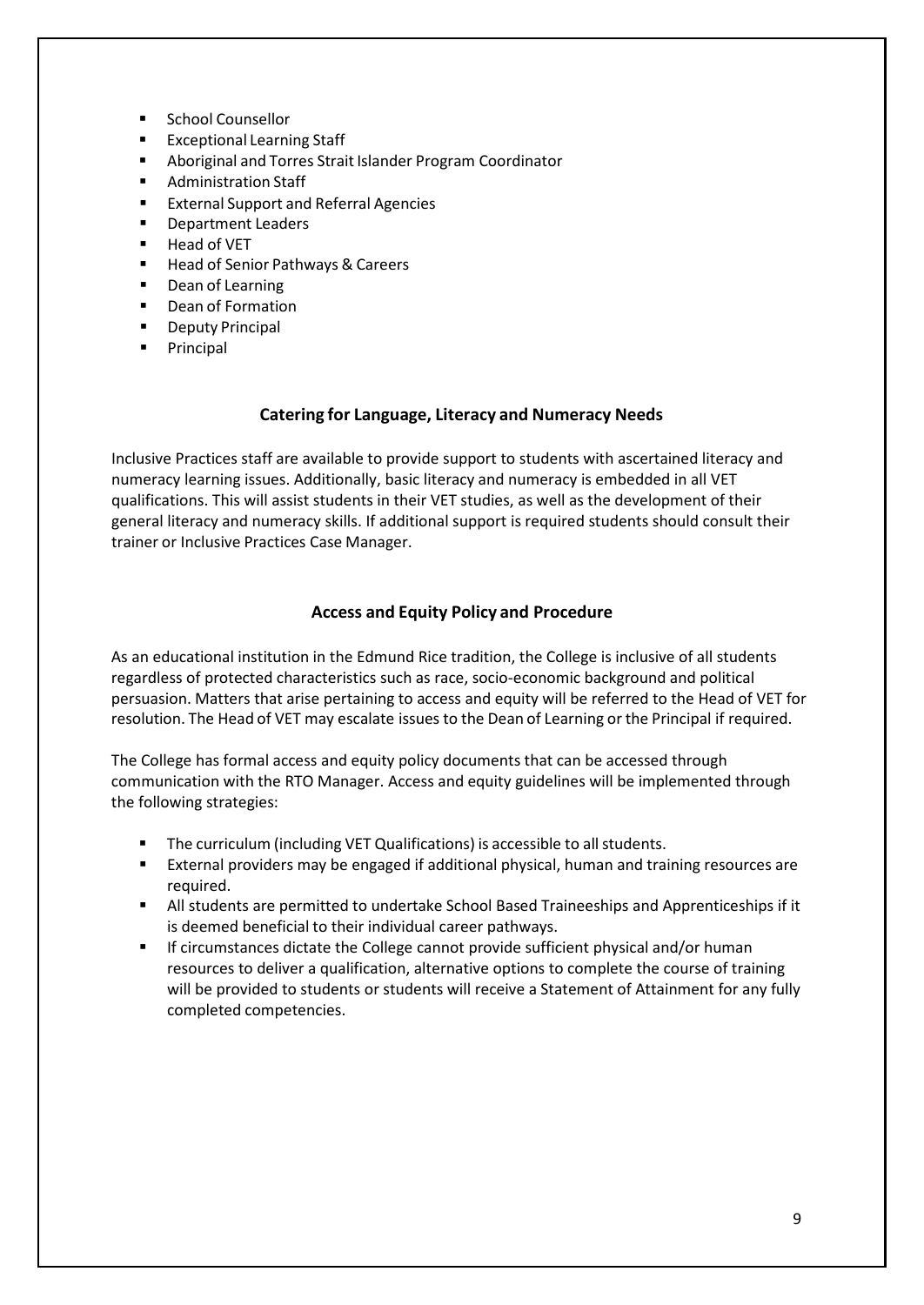- **E** School Counsellor
- Exceptional Learning Staff
- Aboriginal and Torres Strait Islander Program Coordinator
- Administration Staff
- **External Support and Referral Agencies**
- **Department Leaders**
- Head of VET
- Head of Senior Pathways & Careers
- **•** Dean of Learning
- **•** Dean of Formation
- **•** Deputy Principal
- **Principal**

#### **Catering for Language, Literacy and Numeracy Needs**

<span id="page-8-0"></span>Inclusive Practices staff are available to provide support to students with ascertained literacy and numeracy learning issues. Additionally, basic literacy and numeracy is embedded in all VET qualifications. This will assist students in their VET studies, as well as the development of their general literacy and numeracy skills. If additional support is required students should consult their trainer or Inclusive Practices Case Manager.

## **Access and Equity Policy and Procedure**

<span id="page-8-1"></span>As an educational institution in the Edmund Rice tradition, the College is inclusive of all students regardless of protected characteristics such as race, socio-economic background and political persuasion. Matters that arise pertaining to access and equity will be referred to the Head of VET for resolution. The Head of VET may escalate issues to the Dean of Learning or the Principal if required.

The College has formal access and equity policy documents that can be accessed through communication with the RTO Manager. Access and equity guidelines will be implemented through the following strategies:

- **The curriculum (including VET Qualifications) is accessible to all students.**
- External providers may be engaged if additional physical, human and training resources are required.
- All students are permitted to undertake School Based Traineeships and Apprenticeships if it is deemed beneficial to their individual career pathways.
- If circumstances dictate the College cannot provide sufficient physical and/or human resources to deliver a qualification, alternative options to complete the course of training will be provided to students or students will receive a Statement of Attainment for any fully completed competencies.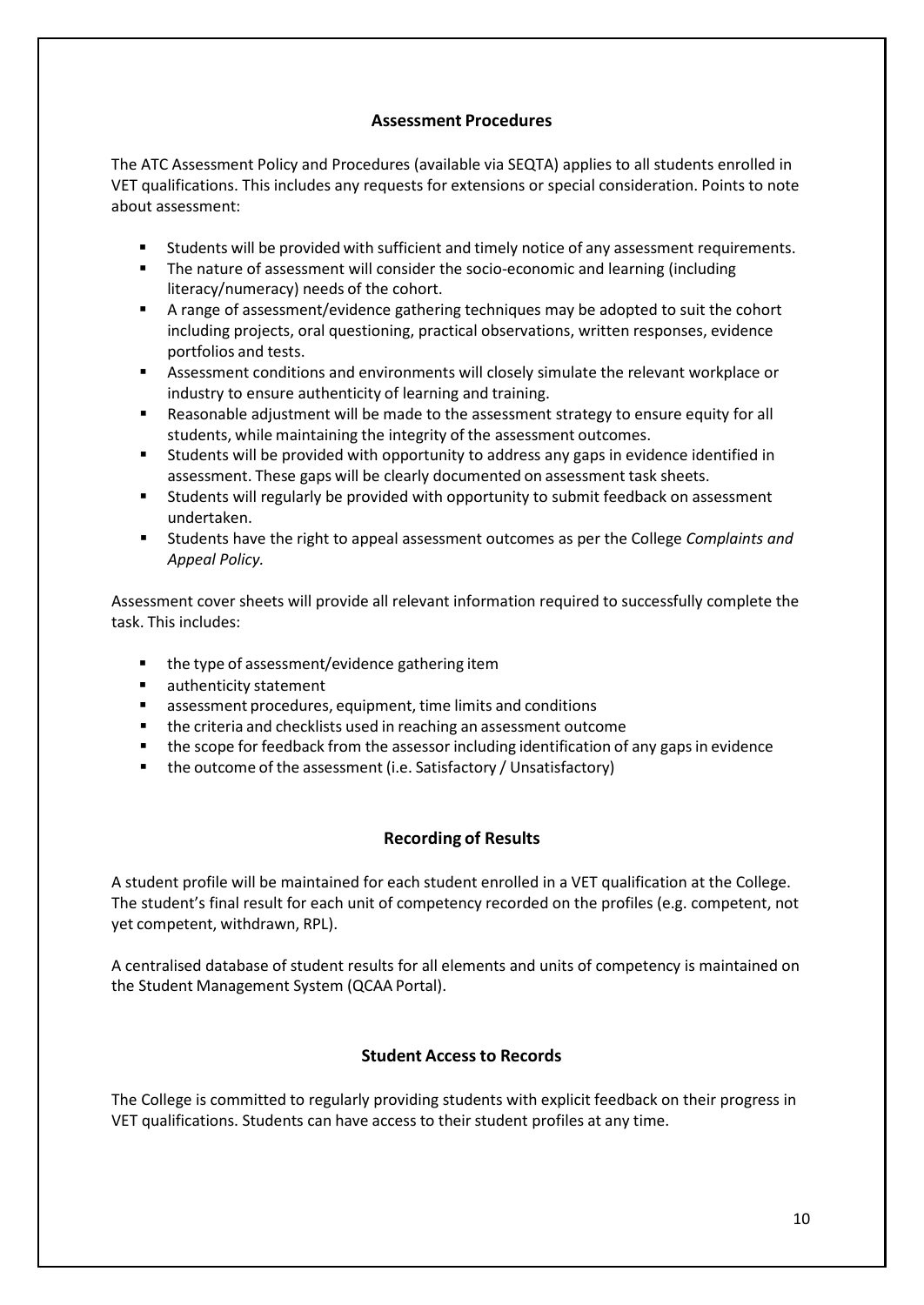# **Assessment Procedures**

<span id="page-9-0"></span>The ATC Assessment Policy and Procedures (available via SEQTA) applies to all students enrolled in VET qualifications. This includes any requests for extensions or special consideration. Points to note about assessment:

- Students will be provided with sufficient and timely notice of any assessment requirements.
- The nature of assessment will consider the socio-economic and learning (including literacy/numeracy) needs of the cohort.
- A range of assessment/evidence gathering techniques may be adopted to suit the cohort including projects, oral questioning, practical observations, written responses, evidence portfolios and tests.
- Assessment conditions and environments will closely simulate the relevant workplace or industry to ensure authenticity of learning and training.
- Reasonable adjustment will be made to the assessment strategy to ensure equity for all students, while maintaining the integrity of the assessment outcomes.
- Students will be provided with opportunity to address any gaps in evidence identified in assessment. These gaps will be clearly documented on assessment task sheets.
- Students will regularly be provided with opportunity to submit feedback on assessment undertaken.
- Students have the right to appeal assessment outcomes as per the College *Complaints and Appeal Policy.*

Assessment cover sheets will provide all relevant information required to successfully complete the task. This includes:

- the type of assessment/evidence gathering item
- authenticity statement
- assessment procedures, equipment, time limits and conditions
- the criteria and checklists used in reaching an assessment outcome
- the scope for feedback from the assessor including identification of any gaps in evidence
- the outcome of the assessment (i.e. Satisfactory / Unsatisfactory)

# **Recording of Results**

<span id="page-9-1"></span>A student profile will be maintained for each student enrolled in a VET qualification at the College. The student's final result for each unit of competency recorded on the profiles (e.g. competent, not yet competent, withdrawn, RPL).

A centralised database of student results for all elements and units of competency is maintained on the Student Management System (QCAA Portal).

# **Student Accessto Records**

<span id="page-9-2"></span>The College is committed to regularly providing students with explicit feedback on their progress in VET qualifications. Students can have access to their student profiles at any time.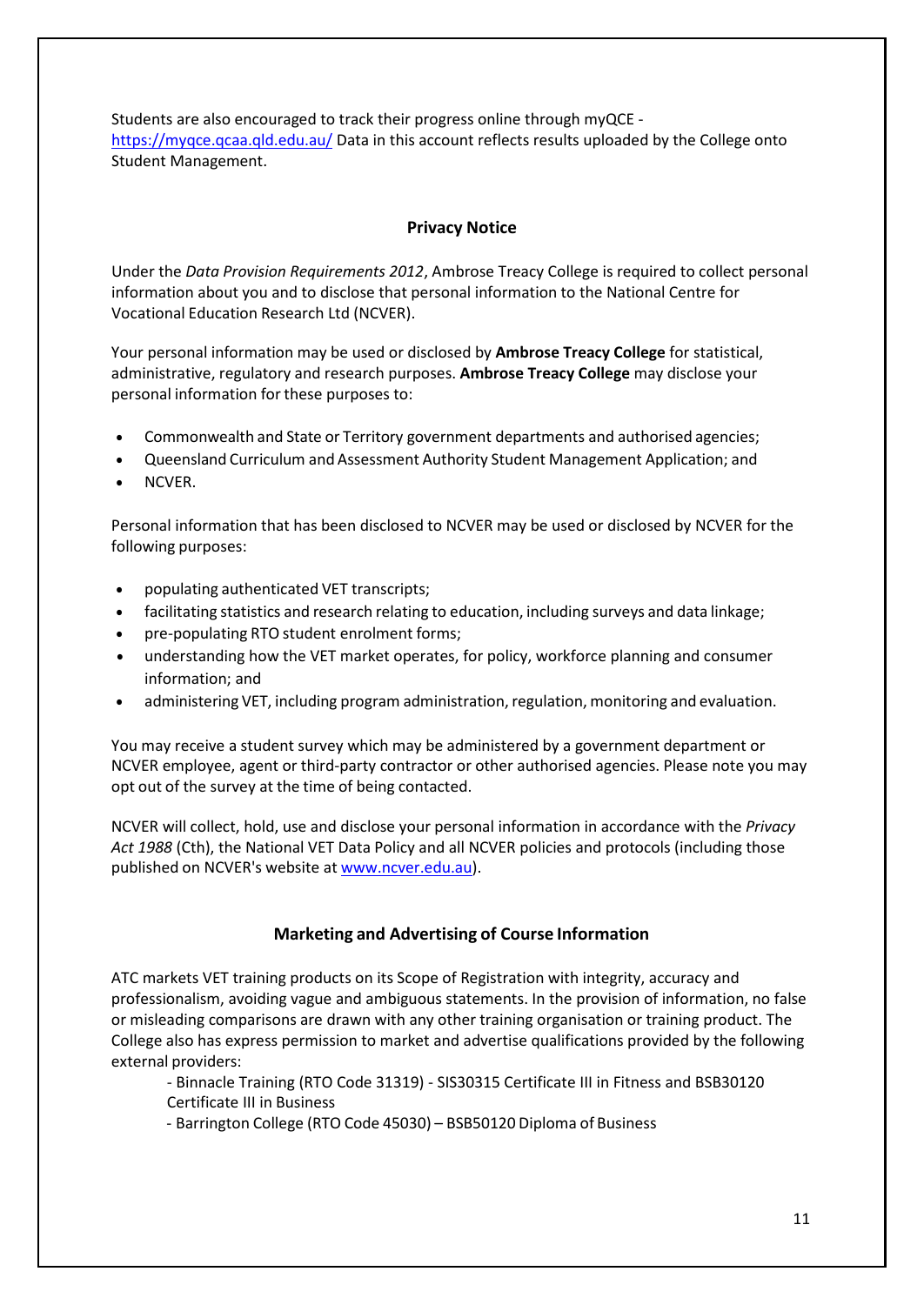Students are also encouraged to track their progress online through myQCE <https://myqce.qcaa.qld.edu.au/> Data in this account reflects results uploaded by the College onto Student Management.

## **Privacy Notice**

<span id="page-10-0"></span>Under the *Data Provision Requirements 2012*, Ambrose Treacy College is required to collect personal information about you and to disclose that personal information to the National Centre for Vocational Education Research Ltd (NCVER).

Your personal information may be used or disclosed by **Ambrose Treacy College** for statistical, administrative, regulatory and research purposes. **Ambrose Treacy College** may disclose your personal information for these purposes to:

- Commonwealth and State or Territory government departments and authorised agencies;
- Queensland Curriculum and Assessment Authority Student Management Application; and
- NCVER.

Personal information that has been disclosed to NCVER may be used or disclosed by NCVER for the following purposes:

- populating authenticated VET transcripts;
- facilitating statistics and research relating to education, including surveys and data linkage;
- pre-populating RTO student enrolment forms;
- understanding how the VET market operates, for policy, workforce planning and consumer information; and
- administering VET, including program administration, regulation, monitoring and evaluation.

You may receive a student survey which may be administered by a government department or NCVER employee, agent or third-party contractor or other authorised agencies. Please note you may opt out of the survey at the time of being contacted.

NCVER will collect, hold, use and disclose your personal information in accordance with the *Privacy Act 1988* (Cth), the National VET Data Policy and all NCVER policies and protocols (including those published on NCVER's website at [www.ncver.edu.au\)](http://www.ncver.edu.au/).

## **Marketing and Advertising of Course Information**

<span id="page-10-1"></span>ATC markets VET training products on its Scope of Registration with integrity, accuracy and professionalism, avoiding vague and ambiguous statements. In the provision of information, no false or misleading comparisons are drawn with any other training organisation or training product. The College also has express permission to market and advertise qualifications provided by the following external providers:

- Binnacle Training (RTO Code 31319) SIS30315 Certificate III in Fitness and BSB30120 Certificate III in Business
- Barrington College (RTO Code 45030) BSB50120 Diploma of Business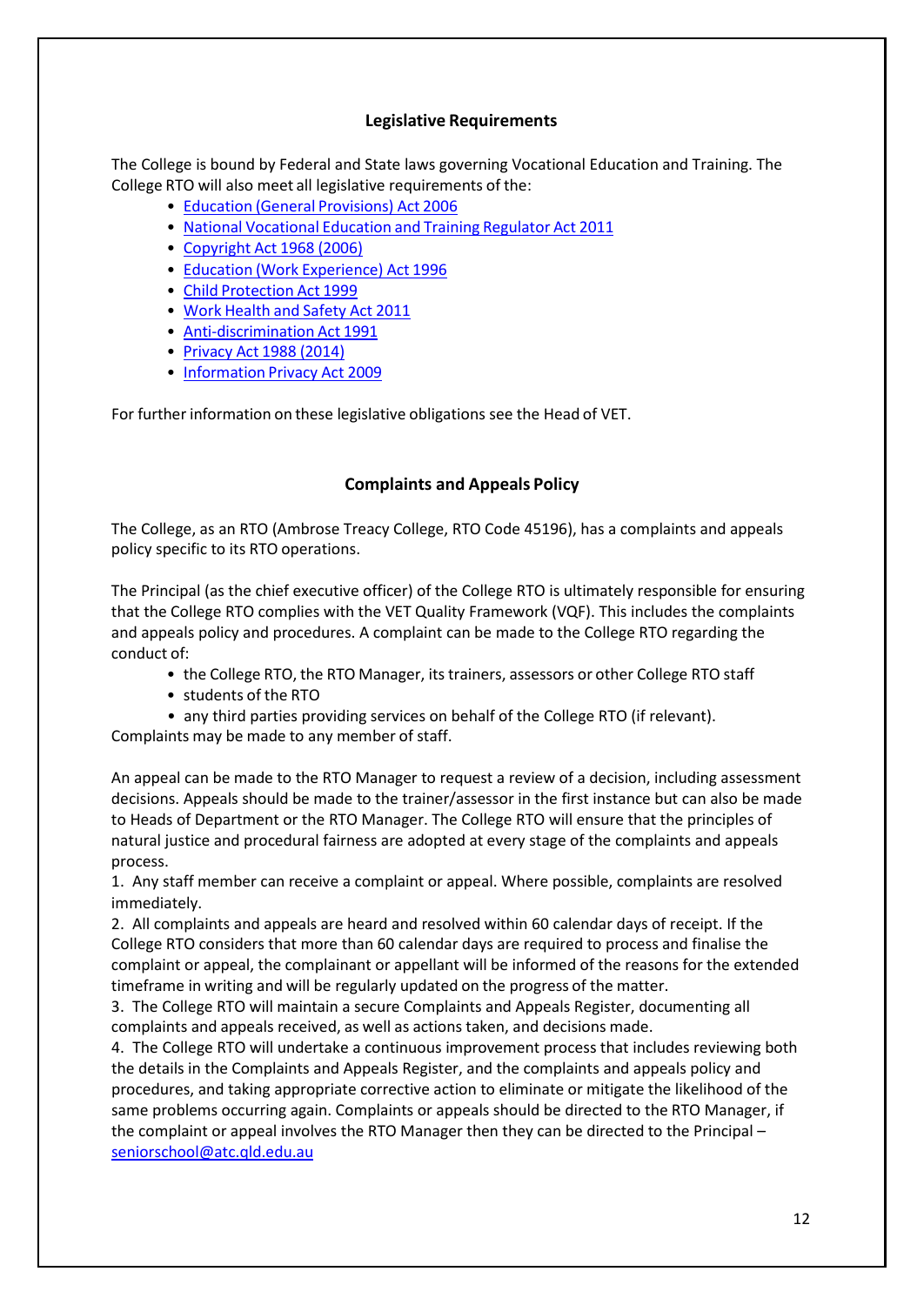#### **Legislative Requirements**

<span id="page-11-0"></span>The College is bound by Federal and State laws governing Vocational Education and Training. The College RTO will also meet all legislative requirements of the:

- Education (General [Provisions\)](https://www.legislation.qld.gov.au/browse/inforce) Act 2006
- National [Vocational](chrome-extension://efaidnbmnnnibpcajpcglclefindmkaj/viewer.html?pdfurl=https%3A%2F%2Fos-data-2.s3-ap-southeast-2.amazonaws.com%2Fipc-qld-edu-au%2Fbundle5%2Fipc_vet_student_handbook_jan_2021updated.pdf&clen=668817&chunk=true) Education and Training Regulator Act 2011
- [Copyright](chrome-extension://efaidnbmnnnibpcajpcglclefindmkaj/viewer.html?pdfurl=https%3A%2F%2Fos-data-2.s3-ap-southeast-2.amazonaws.com%2Fipc-qld-edu-au%2Fbundle5%2Fipc_vet_student_handbook_jan_2021updated.pdf&clen=668817&chunk=true) Act 1968 (2006)
- Education (Work [Experience\)](https://www.legislation.qld.gov.au/browse/inforce) Act 1996
- Child [Protection](https://www.legislation.qld.gov.au/browse/inforce) Act 1999
- Work [Health](https://www.legislation.qld.gov.au/browse/inforce) and Safety Act 2011
- [Anti-discrimination](https://www.legislation.qld.gov.au/browse/inforce) Act 1991
- [Privacy](chrome-extension://efaidnbmnnnibpcajpcglclefindmkaj/viewer.html?pdfurl=https%3A%2F%2Fos-data-2.s3-ap-southeast-2.amazonaws.com%2Fipc-qld-edu-au%2Fbundle5%2Fipc_vet_student_handbook_jan_2021updated.pdf&clen=668817&chunk=true) Act 1988 (2014)
- [Information](https://www.legislation.qld.gov.au/browse/inforce) Privacy Act 2009

For further information on these legislative obligations see the Head of VET.

## **Complaints and Appeals Policy**

<span id="page-11-1"></span>The College, as an RTO (Ambrose Treacy College, RTO Code 45196), has a complaints and appeals policy specific to its RTO operations.

The Principal (as the chief executive officer) of the College RTO is ultimately responsible for ensuring that the College RTO complies with the VET Quality Framework (VQF). This includes the complaints and appeals policy and procedures. A complaint can be made to the College RTO regarding the conduct of:

- the College RTO, the RTO Manager, itstrainers, assessors or other College RTO staff
- students of the RTO
- any third parties providing services on behalf of the College RTO (if relevant).

Complaints may be made to any member of staff.

An appeal can be made to the RTO Manager to request a review of a decision, including assessment decisions. Appeals should be made to the trainer/assessor in the first instance but can also be made to Heads of Department or the RTO Manager. The College RTO will ensure that the principles of natural justice and procedural fairness are adopted at every stage of the complaints and appeals process.

1. Any staff member can receive a complaint or appeal. Where possible, complaints are resolved immediately.

2. All complaints and appeals are heard and resolved within 60 calendar days of receipt. If the College RTO considers that more than 60 calendar days are required to process and finalise the complaint or appeal, the complainant or appellant will be informed of the reasons for the extended timeframe in writing and will be regularly updated on the progress of the matter.

3. The College RTO will maintain a secure Complaints and Appeals Register, documenting all complaints and appeals received, as well as actions taken, and decisions made.

4. The College RTO will undertake a continuous improvement process that includes reviewing both the details in the Complaints and Appeals Register, and the complaints and appeals policy and procedures, and taking appropriate corrective action to eliminate or mitigate the likelihood of the same problems occurring again. Complaints or appeals should be directed to the RTO Manager, if the complaint or appeal involves the RTO Manager then they can be directed to the Principal – [seniorschool@atc.qld.edu.au](mailto:seniorschool@atc.qld.edu.au)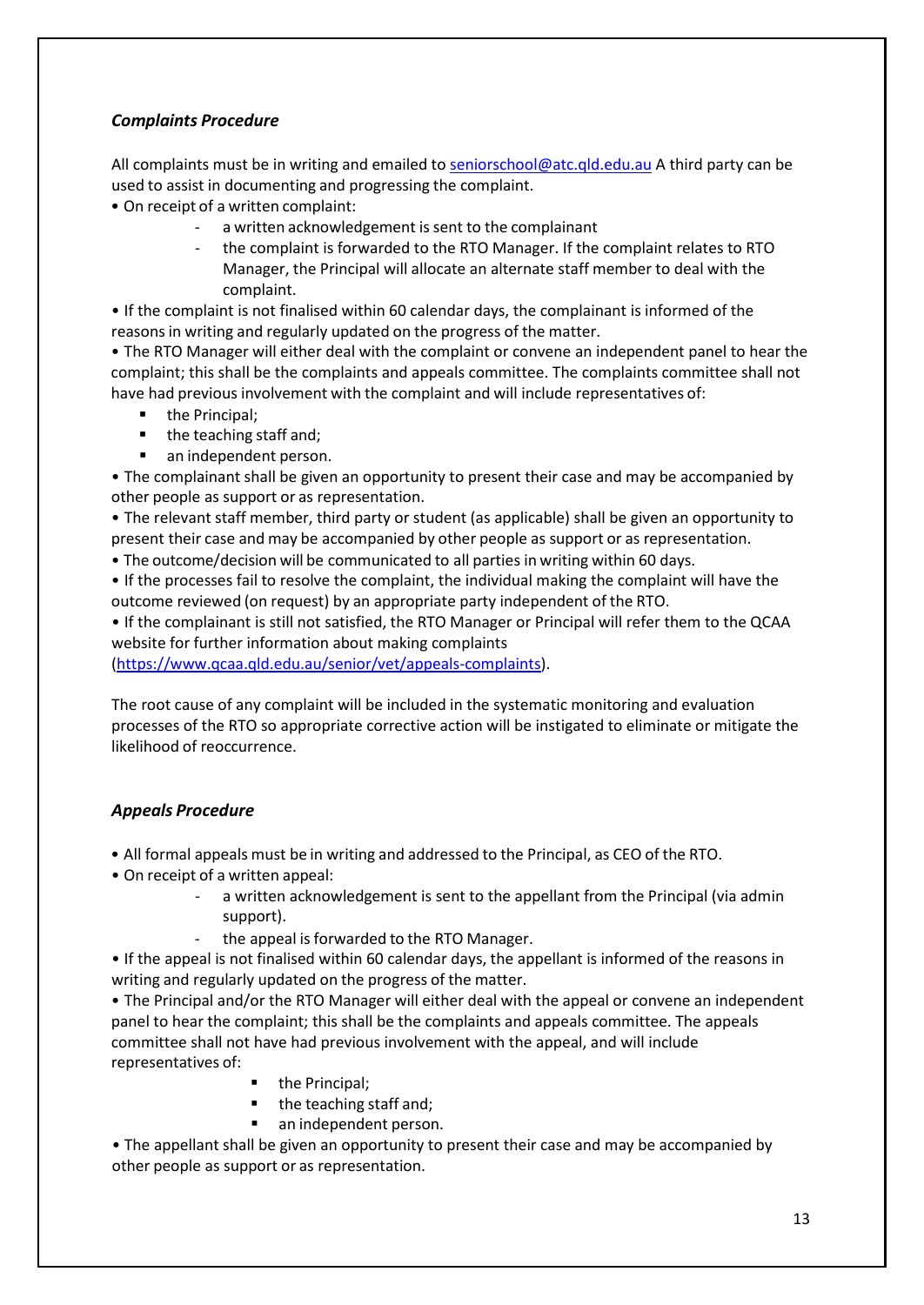# *Complaints Procedure*

All complaints must be in writing and emailed t[o seniorschool@atc.qld.edu.au](mailto:seniorschool@atc.qld.edu.au) A third party can be used to assist in documenting and progressing the complaint.

- On receipt of a written complaint:
	- a written acknowledgement is sent to the complainant
	- the complaint is forwarded to the RTO Manager. If the complaint relates to RTO Manager, the Principal will allocate an alternate staff member to deal with the complaint.

• If the complaint is not finalised within 60 calendar days, the complainant is informed of the reasons in writing and regularly updated on the progress of the matter.

• The RTO Manager will either deal with the complaint or convene an independent panel to hear the complaint; this shall be the complaints and appeals committee. The complaints committee shall not have had previous involvement with the complaint and will include representatives of:

- the Principal;
- the teaching staff and;
- **an independent person.**

• The complainant shall be given an opportunity to present their case and may be accompanied by other people as support or as representation.

• The relevant staff member, third party or student (as applicable) shall be given an opportunity to present their case and may be accompanied by other people as support or as representation.

• The outcome/decision will be communicated to all parties in writing within 60 days.

• If the processes fail to resolve the complaint, the individual making the complaint will have the outcome reviewed (on request) by an appropriate party independent of the RTO.

• If the complainant is still not satisfied, the RTO Manager or Principal will refer them to the QCAA website for further information about making complaints

[\(https://www.qcaa.qld.edu.au/senior/vet/appeals-complaints\)](https://www.qcaa.qld.edu.au/senior/vet/appeals-complaints).

The root cause of any complaint will be included in the systematic monitoring and evaluation processes of the RTO so appropriate corrective action will be instigated to eliminate or mitigate the likelihood of reoccurrence.

## *Appeals Procedure*

• All formal appeals must be in writing and addressed to the Principal, as CEO of the RTO.

- On receipt of a written appeal:
	- a written acknowledgement is sent to the appellant from the Principal (via admin support).
	- the appeal is forwarded to the RTO Manager.

• If the appeal is not finalised within 60 calendar days, the appellant is informed of the reasons in writing and regularly updated on the progress of the matter.

• The Principal and/or the RTO Manager will either deal with the appeal or convene an independent panel to hear the complaint; this shall be the complaints and appeals committee. The appeals committee shall not have had previous involvement with the appeal, and will include representatives of:

- the Principal;
- $\blacksquare$  the teaching staff and;
- **an independent person.**

• The appellant shall be given an opportunity to present their case and may be accompanied by other people as support or as representation.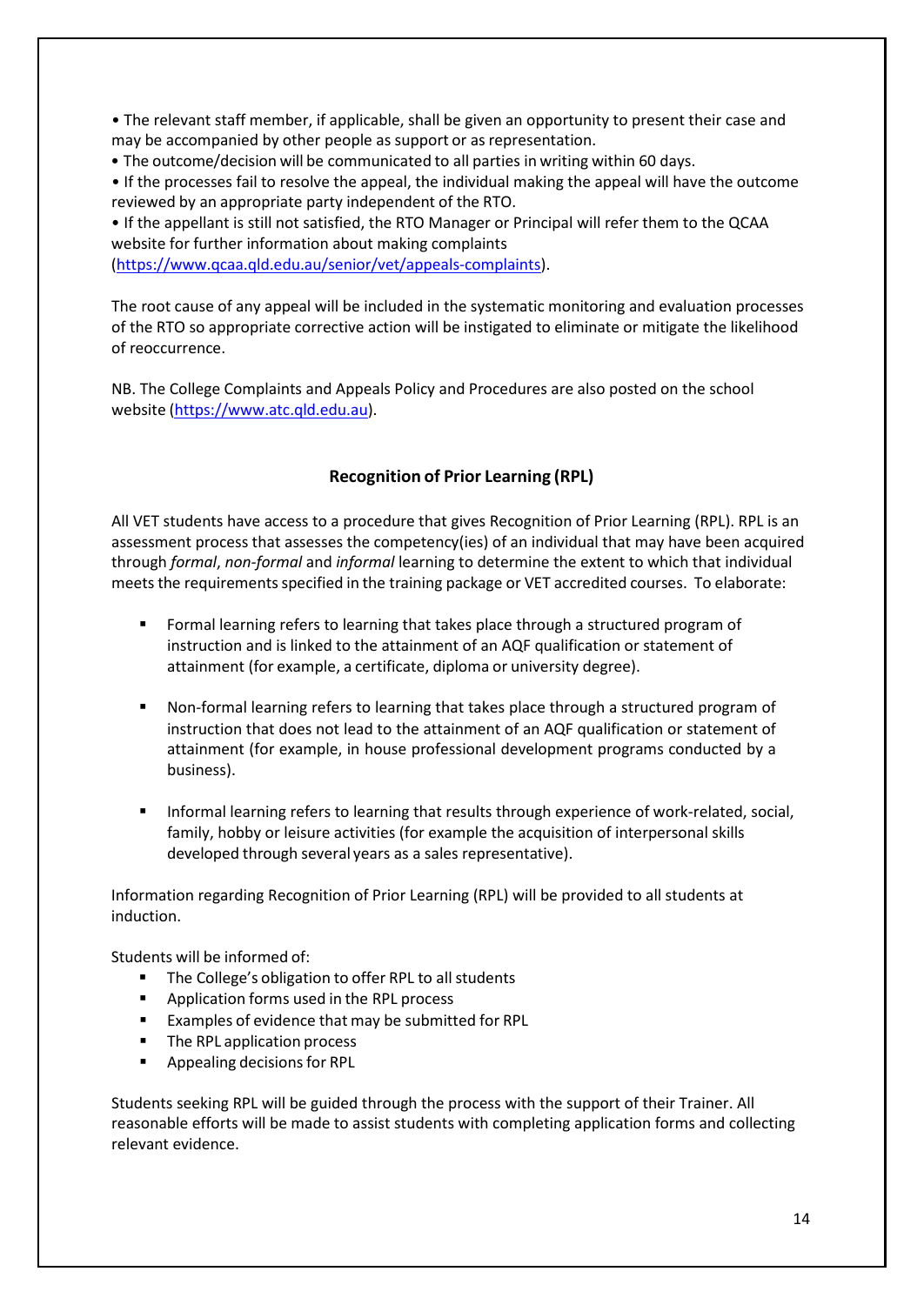• The relevant staff member, if applicable, shall be given an opportunity to present their case and may be accompanied by other people as support or as representation.

• The outcome/decision will be communicated to all parties in writing within 60 days.

• If the processes fail to resolve the appeal, the individual making the appeal will have the outcome reviewed by an appropriate party independent of the RTO.

• If the appellant is still not satisfied, the RTO Manager or Principal will refer them to the QCAA website for further information about making complaints

[\(https://www.qcaa.qld.edu.au/senior/vet/appeals-complaints\)](https://www.qcaa.qld.edu.au/senior/vet/appeals-complaints).

The root cause of any appeal will be included in the systematic monitoring and evaluation processes of the RTO so appropriate corrective action will be instigated to eliminate or mitigate the likelihood of reoccurrence.

NB. The College Complaints and Appeals Policy and Procedures are also posted on the school website [\(https://www.atc.qld.edu.au\)](https://www.atc.qld.edu.au/learning/vocational-education-and-training).

## **Recognition of Prior Learning (RPL)**

<span id="page-13-0"></span>All VET students have access to a procedure that gives Recognition of Prior Learning (RPL). RPL is an assessment process that assesses the competency(ies) of an individual that may have been acquired through *formal*, *non-formal* and *informal* learning to determine the extent to which that individual meets the requirements specified in the training package or VET accredited courses. To elaborate:

- Formal learning refers to learning that takes place through a structured program of instruction and is linked to the attainment of an AQF qualification or statement of attainment (for example, a certificate, diploma or university degree).
- Non-formal learning refers to learning that takes place through a structured program of instruction that does not lead to the attainment of an AQF qualification or statement of attainment (for example, in house professional development programs conducted by a business).
- Informal learning refers to learning that results through experience of work-related, social, family, hobby or leisure activities (for example the acquisition of interpersonal skills developed through several years as a sales representative).

Information regarding Recognition of Prior Learning (RPL) will be provided to all students at induction.

Students will be informed of:

- The College's obligation to offer RPL to all students
- **Application forms used in the RPL process**
- **Examples of evidence that may be submitted for RPL**
- The RPL application process
- **Appealing decisions for RPL**

Students seeking RPL will be guided through the process with the support of their Trainer. All reasonable efforts will be made to assist students with completing application forms and collecting relevant evidence.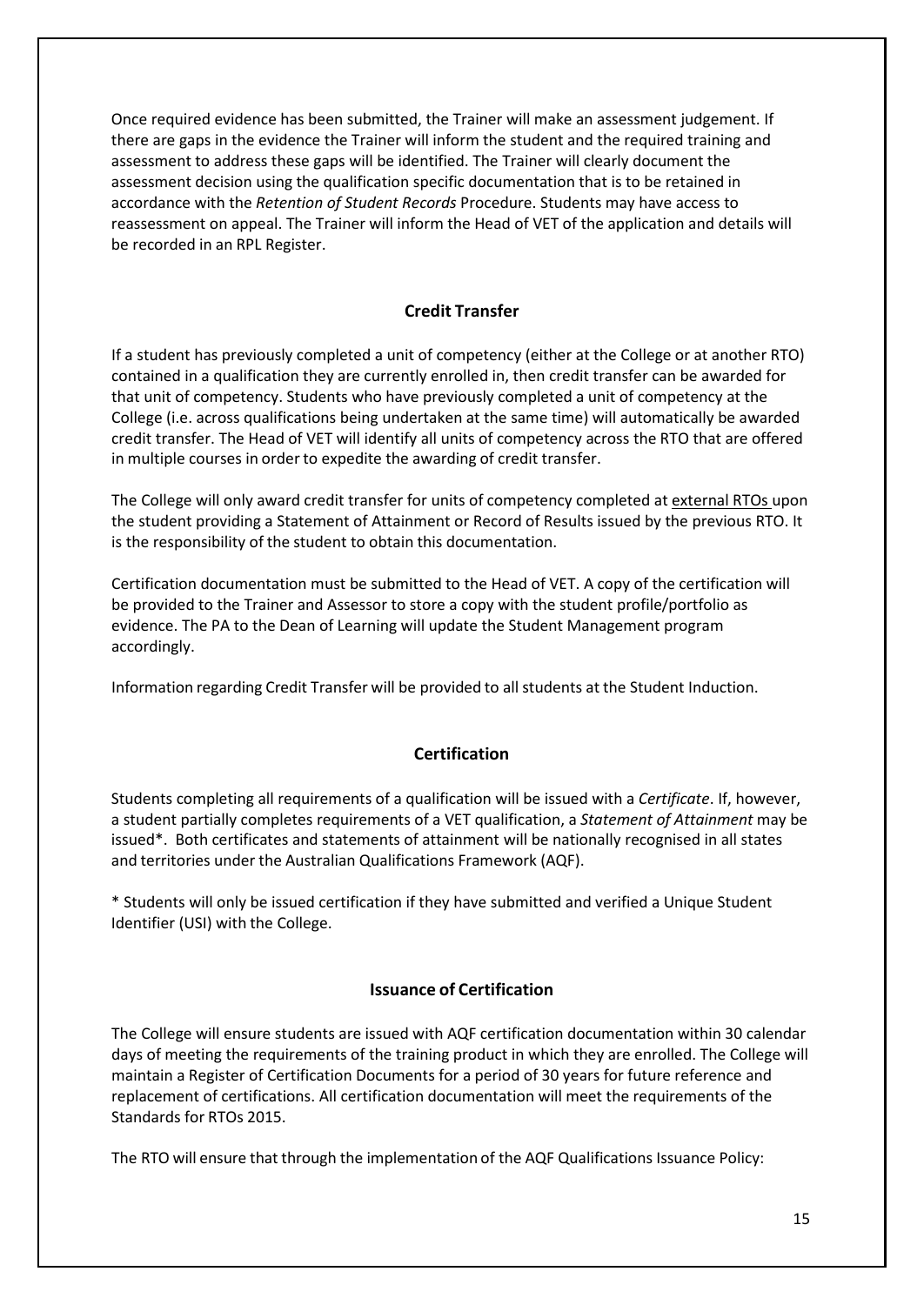Once required evidence has been submitted, the Trainer will make an assessment judgement. If there are gaps in the evidence the Trainer will inform the student and the required training and assessment to address these gaps will be identified. The Trainer will clearly document the assessment decision using the qualification specific documentation that is to be retained in accordance with the *Retention of Student Records* Procedure. Students may have access to reassessment on appeal. The Trainer will inform the Head of VET of the application and details will be recorded in an RPL Register.

#### **Credit Transfer**

<span id="page-14-0"></span>If a student has previously completed a unit of competency (either at the College or at another RTO) contained in a qualification they are currently enrolled in, then credit transfer can be awarded for that unit of competency. Students who have previously completed a unit of competency at the College (i.e. across qualifications being undertaken at the same time) will automatically be awarded credit transfer. The Head of VET will identify all units of competency across the RTO that are offered in multiple courses in order to expedite the awarding of credit transfer.

The College will only award credit transfer for units of competency completed at external RTOs upon the student providing a Statement of Attainment or Record of Results issued by the previous RTO. It is the responsibility of the student to obtain this documentation.

Certification documentation must be submitted to the Head of VET. A copy of the certification will be provided to the Trainer and Assessor to store a copy with the student profile/portfolio as evidence. The PA to the Dean of Learning will update the Student Management program accordingly.

Information regarding Credit Transfer will be provided to all students at the Student Induction.

#### **Certification**

<span id="page-14-1"></span>Students completing all requirements of a qualification will be issued with a *Certificate*. If, however, a student partially completes requirements of a VET qualification, a *Statement of Attainment* may be issued\*. Both certificates and statements of attainment will be nationally recognised in all states and territories under the Australian Qualifications Framework (AQF).

\* Students will only be issued certification if they have submitted and verified a Unique Student Identifier (USI) with the College.

# **Issuance of Certification**

<span id="page-14-2"></span>The College will ensure students are issued with AQF certification documentation within 30 calendar days of meeting the requirements of the training product in which they are enrolled. The College will maintain a Register of Certification Documents for a period of 30 years for future reference and replacement of certifications. All certification documentation will meet the requirements of the Standards for RTOs 2015.

The RTO will ensure that through the implementation of the AQF Qualifications Issuance Policy: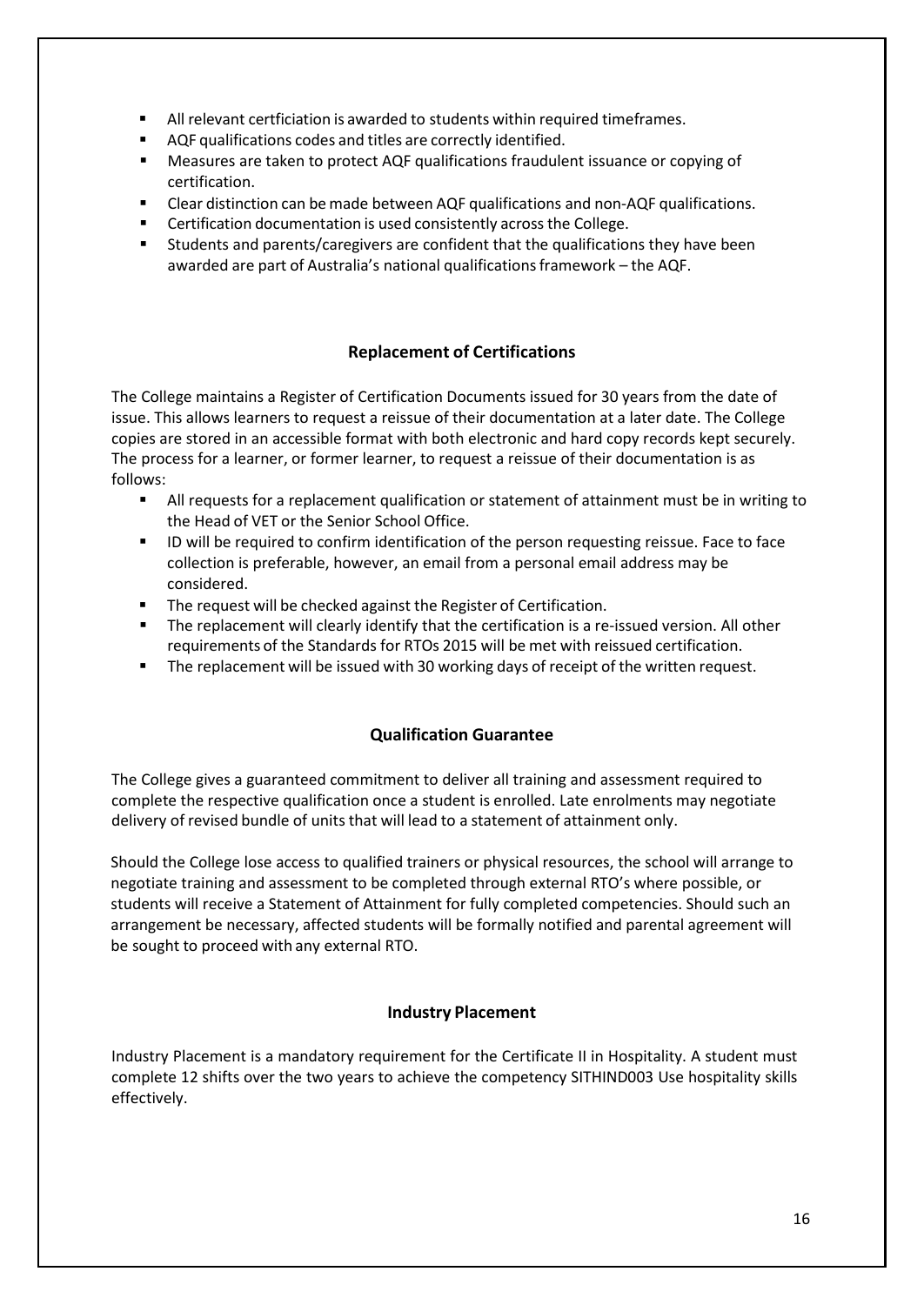- All relevant certficiation is awarded to students within required timeframes.
- AQF qualifications codes and titles are correctly identified.
- Measures are taken to protect AQF qualifications fraudulent issuance or copying of certification.
- Clear distinction can be made between AQF qualifications and non-AQF qualifications.
- **EXECTE:** Certification documentation is used consistently across the College.
- Students and parents/caregivers are confident that the qualifications they have been awarded are part of Australia's national qualificationsframework – the AQF.

# **Replacement of Certifications**

<span id="page-15-0"></span>The College maintains a Register of Certification Documents issued for 30 years from the date of issue. This allows learners to request a reissue of their documentation at a later date. The College copies are stored in an accessible format with both electronic and hard copy records kept securely. The process for a learner, or former learner, to request a reissue of their documentation is as follows:

- All requests for a replacement qualification or statement of attainment must be in writing to the Head of VET or the Senior School Office.
- **ID** will be required to confirm identification of the person requesting reissue. Face to face collection is preferable, however, an email from a personal email address may be considered.
- **The request will be checked against the Register of Certification.**
- **The replacement will clearly identify that the certification is a re-issued version. All other** requirements of the Standards for RTOs 2015 will be met with reissued certification.
- **The replacement will be issued with 30 working days of receipt of the written request.**

## **Qualification Guarantee**

<span id="page-15-1"></span>The College gives a guaranteed commitment to deliver all training and assessment required to complete the respective qualification once a student is enrolled. Late enrolments may negotiate delivery of revised bundle of units that will lead to a statement of attainment only.

Should the College lose access to qualified trainers or physical resources, the school will arrange to negotiate training and assessment to be completed through external RTO's where possible, or students will receive a Statement of Attainment for fully completed competencies. Should such an arrangement be necessary, affected students will be formally notified and parental agreement will be sought to proceed with any external RTO.

## **Industry Placement**

<span id="page-15-2"></span>Industry Placement is a mandatory requirement for the Certificate II in Hospitality. A student must complete 12 shifts over the two years to achieve the competency SITHIND003 Use hospitality skills effectively.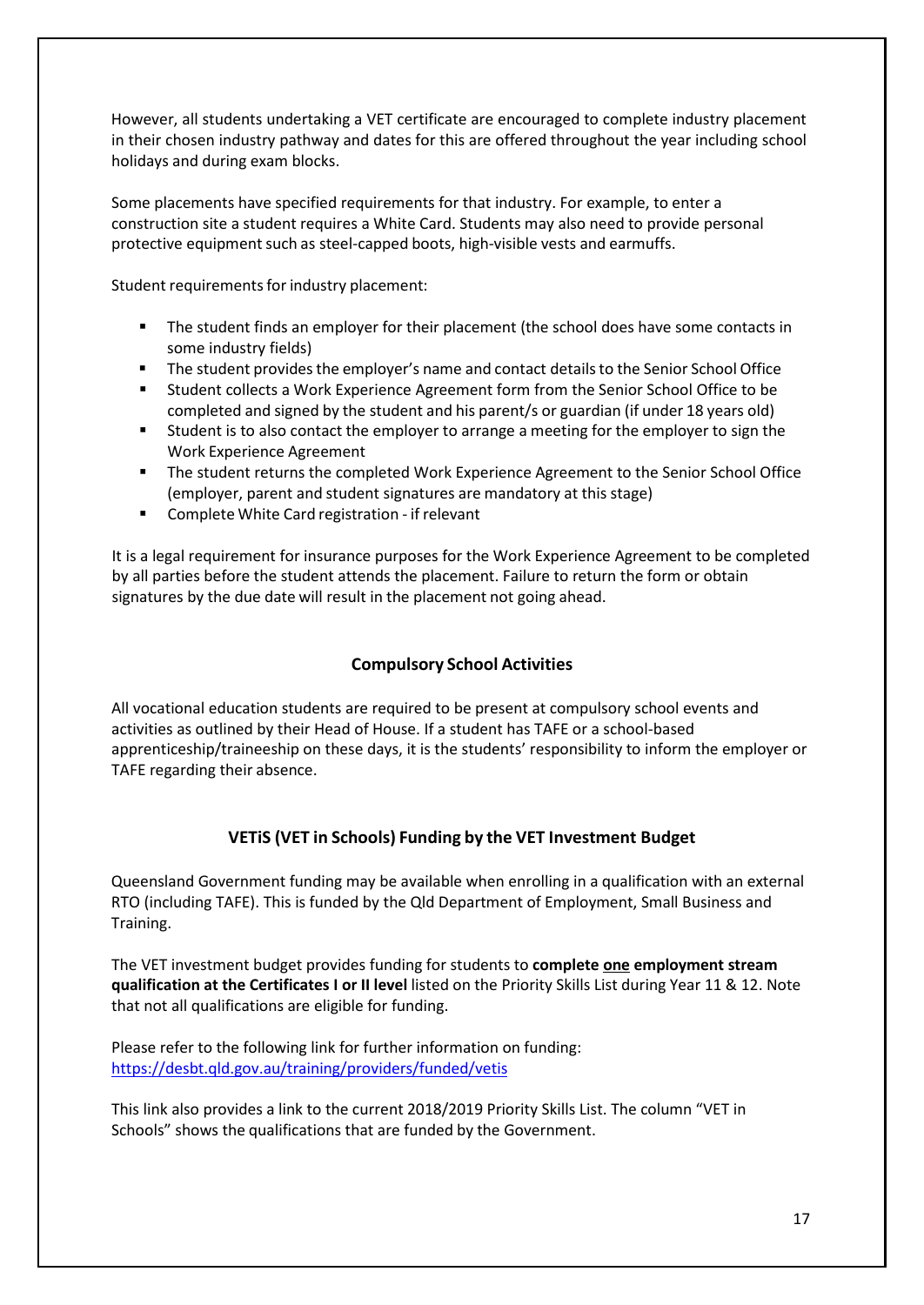However, all students undertaking a VET certificate are encouraged to complete industry placement in their chosen industry pathway and dates for this are offered throughout the year including school holidays and during exam blocks.

Some placements have specified requirements for that industry. For example, to enter a construction site a student requires a White Card. Students may also need to provide personal protective equipment such as steel-capped boots, high-visible vests and earmuffs.

Student requirements for industry placement:

- **The student finds an employer for their placement (the school does have some contacts in** some industry fields)
- **The student provides the employer's name and contact details to the Senior School Office**
- Student collects a Work Experience Agreement form from the Senior School Office to be completed and signed by the student and his parent/s or guardian (if under 18 years old)
- Student is to also contact the employer to arrange a meeting for the employer to sign the Work Experience Agreement
- **The student returns the completed Work Experience Agreement to the Senior School Office** (employer, parent and student signatures are mandatory at this stage)
- Complete White Card registration if relevant

It is a legal requirement for insurance purposes for the Work Experience Agreement to be completed by all parties before the student attends the placement. Failure to return the form or obtain signatures by the due date will result in the placement not going ahead.

## **Compulsory School Activities**

<span id="page-16-0"></span>All vocational education students are required to be present at compulsory school events and activities as outlined by their Head of House. If a student has TAFE or a school-based apprenticeship/traineeship on these days, it is the students' responsibility to inform the employer or TAFE regarding their absence.

## **VETiS (VET in Schools) Funding by the VET Investment Budget**

<span id="page-16-1"></span>Queensland Government funding may be available when enrolling in a qualification with an external RTO (including TAFE). This is funded by the Qld Department of Employment, Small Business and Training.

The VET investment budget provides funding for students to **complete one employment stream qualification at the Certificates I or II level** listed on the Priority Skills List during Year 11 & 12. Note that not all qualifications are eligible for funding.

Please refer to the following link for further information on funding: <https://desbt.qld.gov.au/training/providers/funded/vetis>

This link also provides a link to the current 2018/2019 Priority Skills List. The column "VET in Schools" shows the qualifications that are funded by the Government.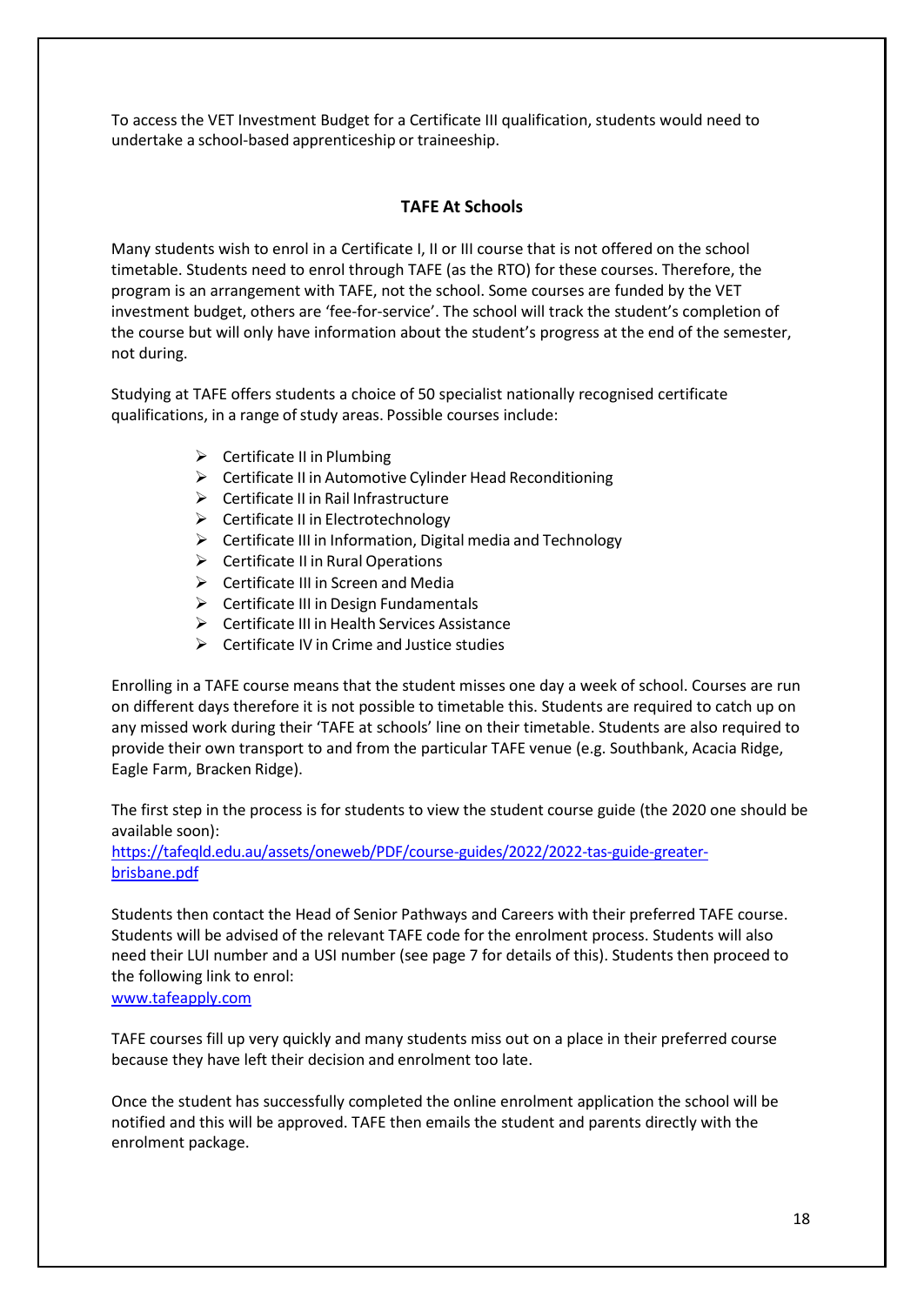To access the VET Investment Budget for a Certificate III qualification, students would need to undertake a school-based apprenticeship or traineeship.

# **TAFE At Schools**

<span id="page-17-0"></span>Many students wish to enrol in a Certificate I, II or III course that is not offered on the school timetable. Students need to enrol through TAFE (as the RTO) for these courses. Therefore, the program is an arrangement with TAFE, not the school. Some courses are funded by the VET investment budget, others are 'fee-for-service'. The school will track the student's completion of the course but will only have information about the student's progress at the end of the semester, not during.

Studying at TAFE offers students a choice of 50 specialist nationally recognised certificate qualifications, in a range of study areas. Possible courses include:

- $\triangleright$  Certificate II in Plumbing
- $\triangleright$  Certificate II in Automotive Cylinder Head Reconditioning
- $\triangleright$  Certificate II in Rail Infrastructure
- $\triangleright$  Certificate II in Electrotechnology
- $\triangleright$  Certificate III in Information, Digital media and Technology
- $\triangleright$  Certificate II in Rural Operations
- $\triangleright$  Certificate III in Screen and Media
- $\triangleright$  Certificate III in Design Fundamentals
- $\triangleright$  Certificate III in Health Services Assistance
- $\triangleright$  Certificate IV in Crime and Justice studies

Enrolling in a TAFE course means that the student misses one day a week of school. Courses are run on different days therefore it is not possible to timetable this. Students are required to catch up on any missed work during their 'TAFE at schools' line on their timetable. Students are also required to provide their own transport to and from the particular TAFE venue (e.g. Southbank, Acacia Ridge, Eagle Farm, Bracken Ridge).

The first step in the process is for students to view the student course guide (the 2020 one should be available soon):

[https://tafeqld.edu.au/assets/oneweb/PDF/course-guides/2022/2022-tas-guide-greater](https://tafeqld.edu.au/assets/oneweb/PDF/course-guides/2022/2022-tas-guide-greater-brisbane.pdf)[brisbane.pdf](https://tafeqld.edu.au/assets/oneweb/PDF/course-guides/2022/2022-tas-guide-greater-brisbane.pdf)

Students then contact the Head of Senior Pathways and Careers with their preferred TAFE course. Students will be advised of the relevant TAFE code for the enrolment process. Students will also need their LUI number and a USI number (see page 7 for details of this). Students then proceed to the following link to enrol:

#### [www.tafeapply.com](http://www.tafeapply.com/)

TAFE courses fill up very quickly and many students miss out on a place in their preferred course because they have left their decision and enrolment too late.

Once the student has successfully completed the online enrolment application the school will be notified and this will be approved. TAFE then emails the student and parents directly with the enrolment package.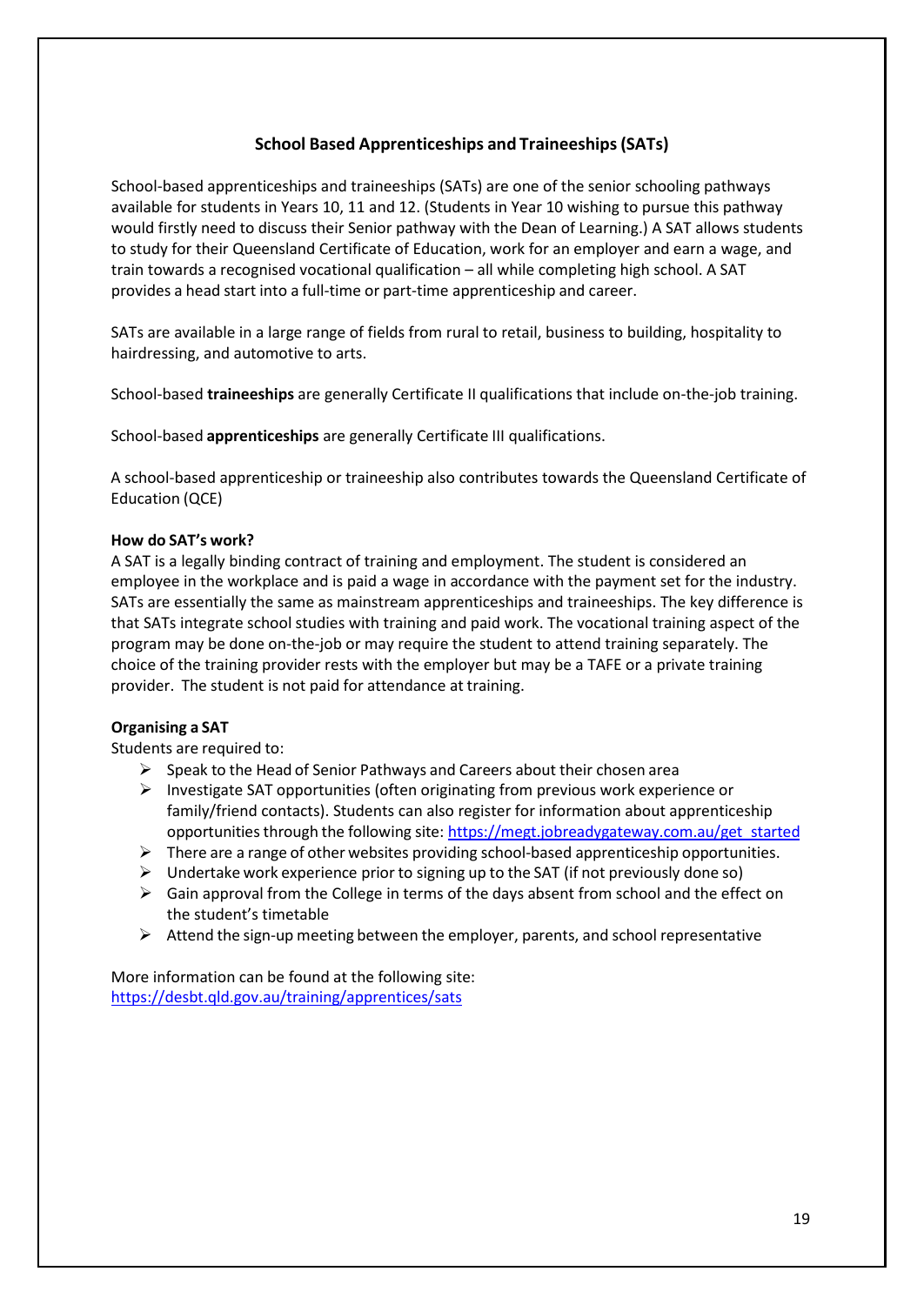# **School Based Apprenticeships and Traineeships(SATs)**

<span id="page-18-0"></span>School-based apprenticeships and traineeships (SATs) are one of the senior schooling pathways available for students in Years 10, 11 and 12. (Students in Year 10 wishing to pursue this pathway would firstly need to discuss their Senior pathway with the Dean of Learning.) A SAT allows students to study for their Queensland Certificate of Education, work for an employer and earn a wage, and train towards a recognised vocational qualification – all while completing high school. A SAT provides a head start into a full-time or part-time apprenticeship and career.

SATs are available in a large range of fields from rural to retail, business to building, hospitality to hairdressing, and automotive to arts.

School-based **traineeships** are generally Certificate II qualifications that include on-the-job training.

School-based **apprenticeships** are generally Certificate III qualifications.

A school-based apprenticeship or traineeship also contributes towards the Queensland Certificate of Education (QCE)

#### **How do SAT's work?**

A SAT is a legally binding contract of training and employment. The student is considered an employee in the workplace and is paid a wage in accordance with the payment set for the industry. SATs are essentially the same as mainstream apprenticeships and traineeships. The key difference is that SATs integrate school studies with training and paid work. The vocational training aspect of the program may be done on-the-job or may require the student to attend training separately. The choice of the training provider rests with the employer but may be a TAFE or a private training provider. The student is not paid for attendance at training.

#### **Organising a SAT**

Students are required to:

- $\triangleright$  Speak to the Head of Senior Pathways and Careers about their chosen area
- $\triangleright$  Investigate SAT opportunities (often originating from previous work experience or family/friend contacts). Students can also register for information about apprenticeship opportunities through the following site: [https://megt.jobreadygateway.com.au/get\\_started](https://megt.jobreadygateway.com.au/get_started)
- $\triangleright$  There are a range of other websites providing school-based apprenticeship opportunities.
- $\triangleright$  Undertake work experience prior to signing up to the SAT (if not previously done so)
- $\triangleright$  Gain approval from the College in terms of the days absent from school and the effect on the student's timetable
- $\triangleright$  Attend the sign-up meeting between the employer, parents, and school representative

More information can be found at the following site: <https://desbt.qld.gov.au/training/apprentices/sats>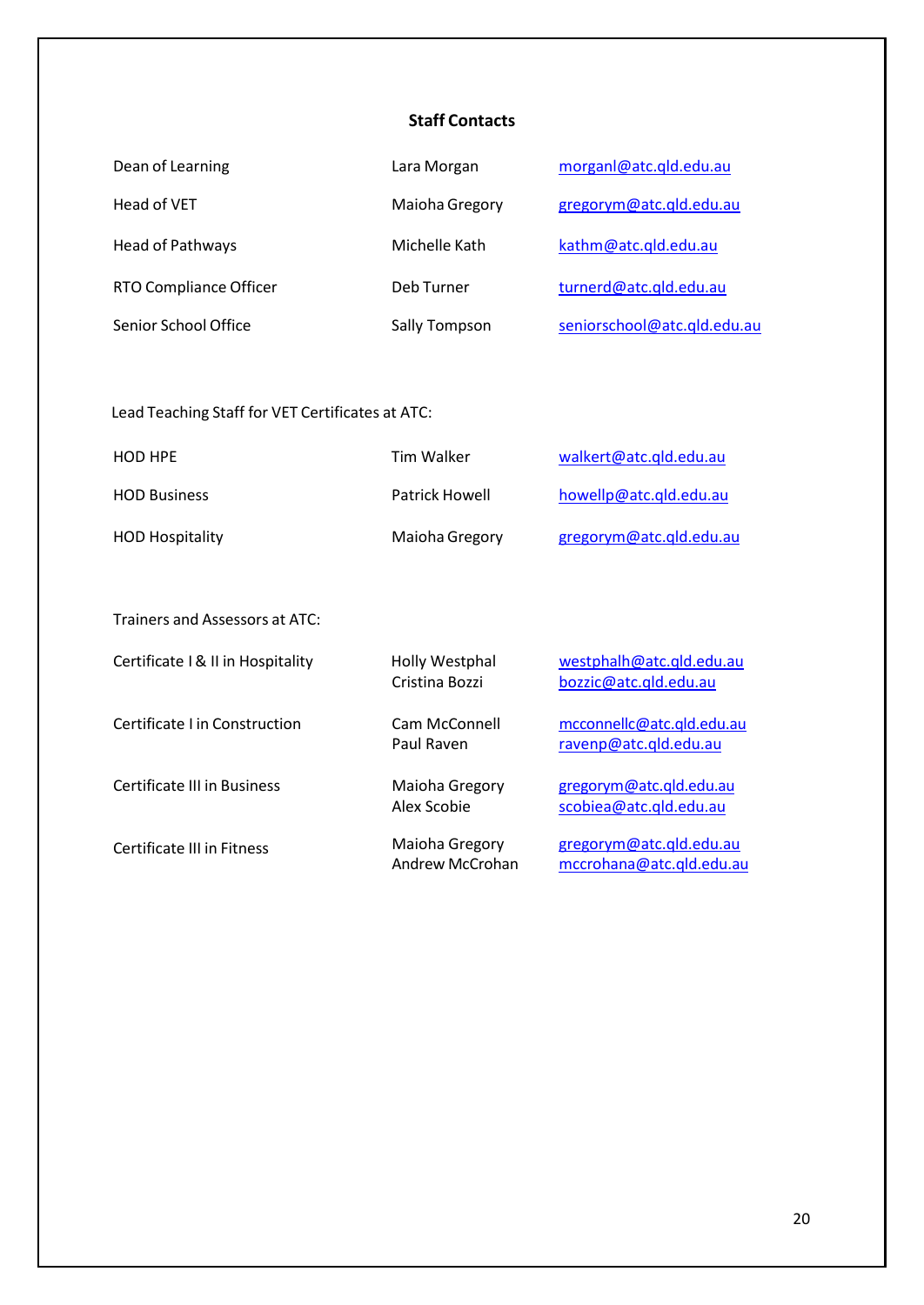# **Staff Contacts**

<span id="page-19-0"></span>

| Dean of Learning       | Lara Morgan    | morganl@atc.qld.edu.au      |
|------------------------|----------------|-----------------------------|
| Head of VET            | Maioha Gregory | gregorym@atc.qld.edu.au     |
| Head of Pathways       | Michelle Kath  | kathm@atc.qld.edu.au        |
| RTO Compliance Officer | Deb Turner     | turnerd@atc.gld.edu.au      |
| Senior School Office   | Sally Tompson  | seniorschool@atc.qld.edu.au |

# Lead Teaching Staff for VET Certificates at ATC:

| <b>HOD HPE</b>         | Tim Walker     | walkert@atc.gld.edu.au  |
|------------------------|----------------|-------------------------|
| <b>HOD Business</b>    | Patrick Howell | howellp@atc.gld.edu.au  |
| <b>HOD Hospitality</b> | Maioha Gregory | gregorym@atc.qld.edu.au |

Trainers and Assessors at ATC:

| Certificate   & II in Hospitality  | Holly Westphal<br>Cristina Bozzi  | westphalh@atc.qld.edu.au<br>bozzic@atc.qld.edu.au   |
|------------------------------------|-----------------------------------|-----------------------------------------------------|
| Certificate I in Construction      | Cam McConnell<br>Paul Raven       | mcconnellc@atc.qld.edu.au<br>ravenp@atc.qld.edu.au  |
| <b>Certificate III in Business</b> | Maioha Gregory<br>Alex Scobie     | gregorym@atc.qld.edu.au<br>scobiea@atc.qld.edu.au   |
| Certificate III in Fitness         | Maioha Gregory<br>Andrew McCrohan | gregorym@atc.qld.edu.au<br>mccrohana@atc.qld.edu.au |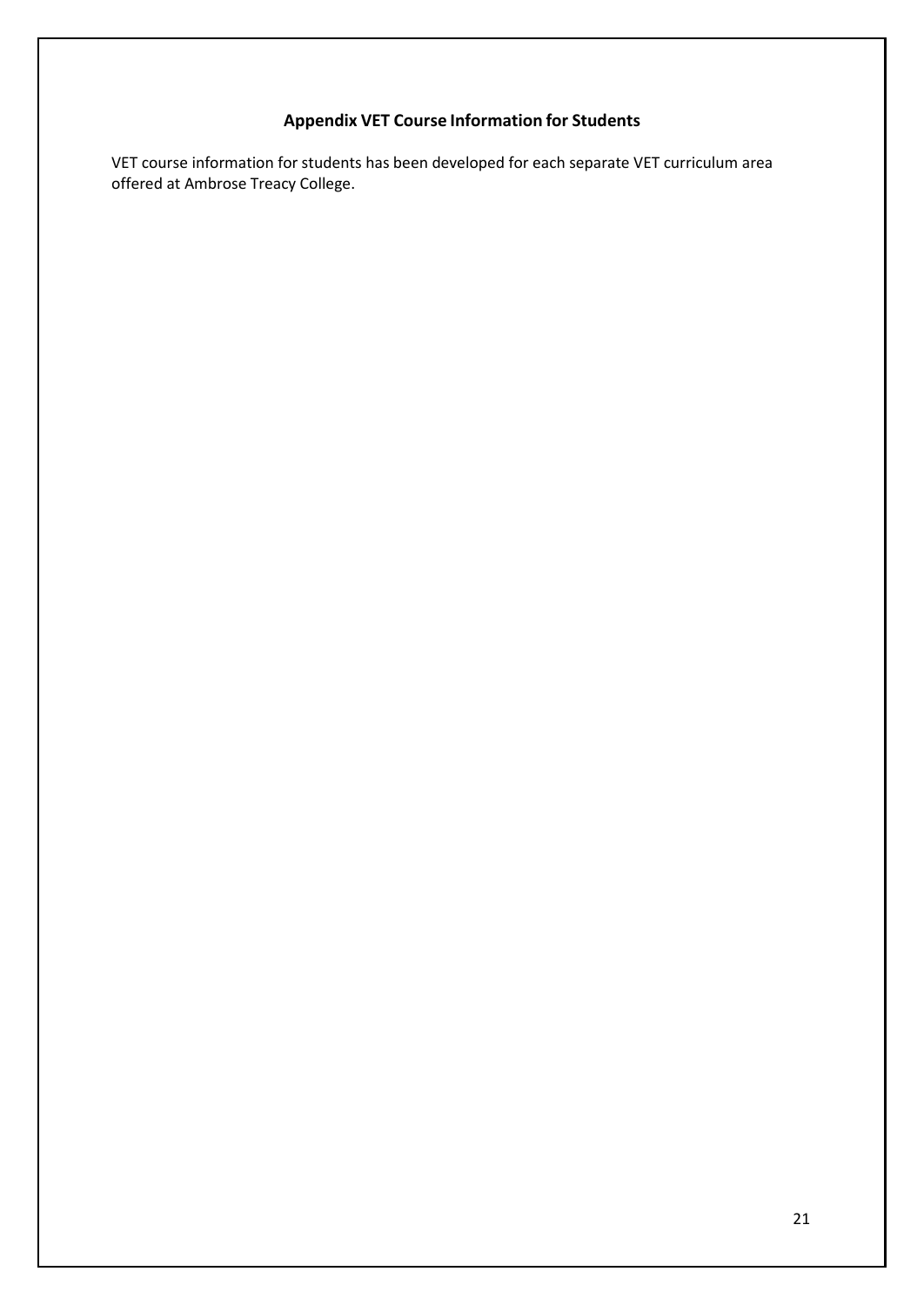# **Appendix VET Course Information for Students**

VET course information for students has been developed for each separate VET curriculum area offered at Ambrose Treacy College.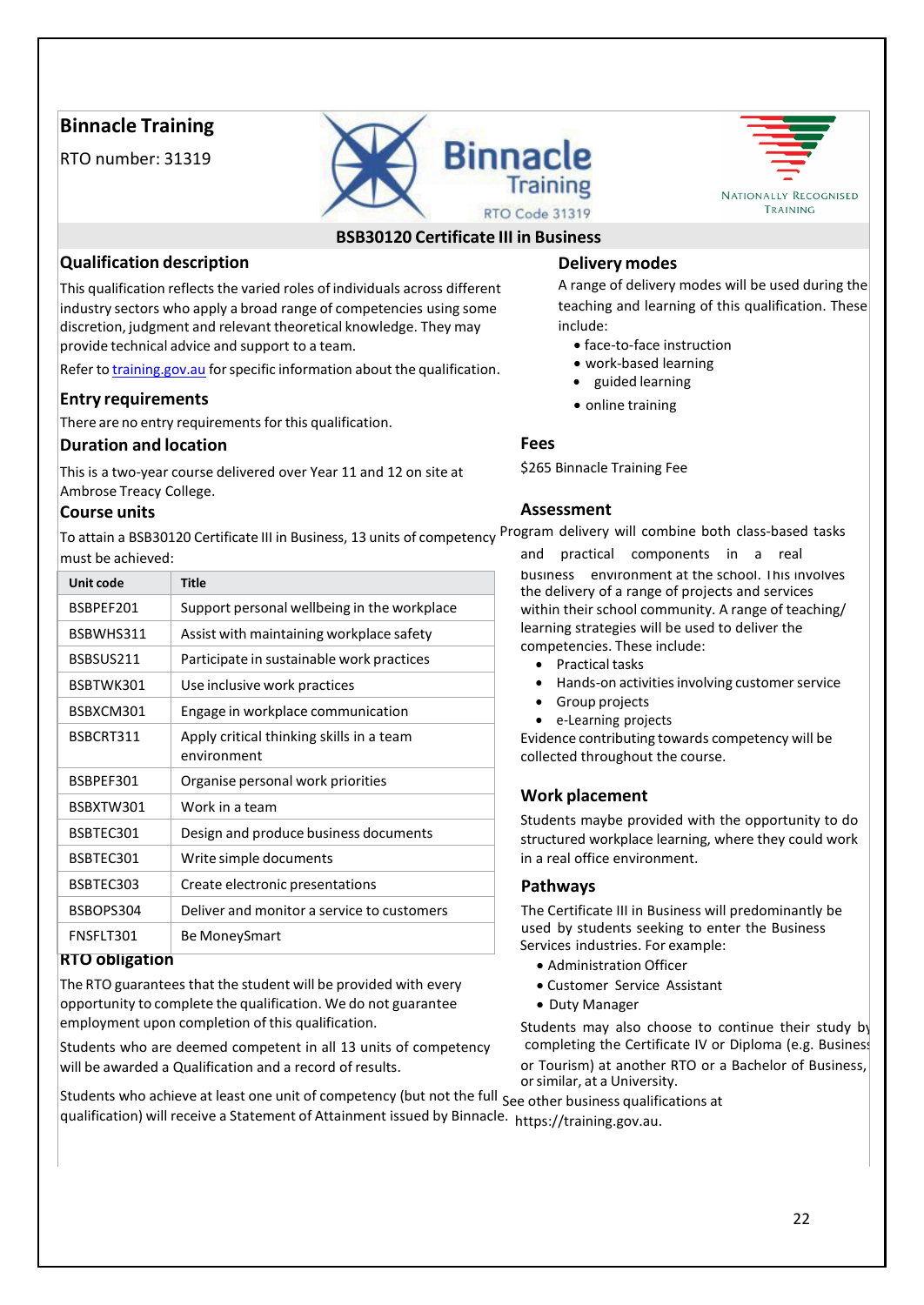# **Binnacle Training**

RTO number: 31319





# **BSB30120 Certificate III in Business**

# **Qualification description Delivery modes**

This qualification reflects the varied roles of individuals across different A range of delivery modes will be used during the industry sectors who apply a broad range of competencies using some teaching and learning of th industry sectors who apply a broad range of competencies using some discretion, judgment and relevant theoretical knowledge. They may include: provide technical advice and support to a team. **•** face-to-face instruction

Refer to training gov.au for specific information about the qualification. • work-based learning

# **Entry requirements** • online training

There are no entry requirements for this qualification.

## **Duration and location Fees**

This is a two-year course delivered over Year 11 and 12 on site at \$265 Binnacle Training Fee Ambrose Treacy College.

# **Course units Assessment**

To attain a BSB30120 Certificate III in Business, 13 units of competency <sup>Program</sup> delivery will combine both class-based tasks must be achieved: and practical components in a real

| Unit code | <b>Title</b>                                            |
|-----------|---------------------------------------------------------|
| BSBPEF201 | Support personal wellbeing in the workplace             |
| BSBWHS311 | Assist with maintaining workplace safety                |
| BSBSUS211 | Participate in sustainable work practices               |
| BSBTWK301 | Use inclusive work practices                            |
| BSBXCM301 | Engage in workplace communication                       |
| BSBCRT311 | Apply critical thinking skills in a team<br>environment |
| BSBPEF301 | Organise personal work priorities                       |
| BSBXTW301 | Work in a team                                          |
| BSBTEC301 | Design and produce business documents                   |
| BSBTEC301 | Write simple documents                                  |
| BSBTEC303 | Create electronic presentations                         |
| BSBOPS304 | Deliver and monitor a service to customers              |
| FNSFLT301 | Be MoneySmart                                           |

The RTO guarantees that the student will be provided with every • Customer Service Assistant opportunity to complete the qualification. We do not guarantee • Duty Manager employment upon completion of this qualification.  $\blacksquare$  Students may also choose to continue their study by

Students who are deemed competent in all 13 units of competency completing the Certificate IV or Diploma (e.g. Business will be awarded a Qualification and a record of results. or Tourism) at another RTO or a Bachelor of Business,

- 
- 
- guided learning
- 

**business** environment at the school. This involves the delivery of a range of projects and services within their school community. A range of teaching/ learning strategies will be used to deliver the competencies. These include:

- Practical tasks
- Hands-on activities involving customer service
- Group projects
- e-Learning projects

Evidence contributing towards competency will be collected throughout the course.

## **Work placement**

Students maybe provided with the opportunity to do structured workplace learning, where they could work in a real office environment.

## **Pathways**

The Certificate III in Business will predominantly be used by students seeking to enter the Business Services industries. For example:

- **RTO** obligation **and a structure of the contract of the Administration Officer** 
	-
	-

orsimilar, at a University.

Students who achieve at least one unit of competency (but not the full See other business qualifications at qualification) will receive a Statement of Attainment issued by Binnacle. https://training.gov.au.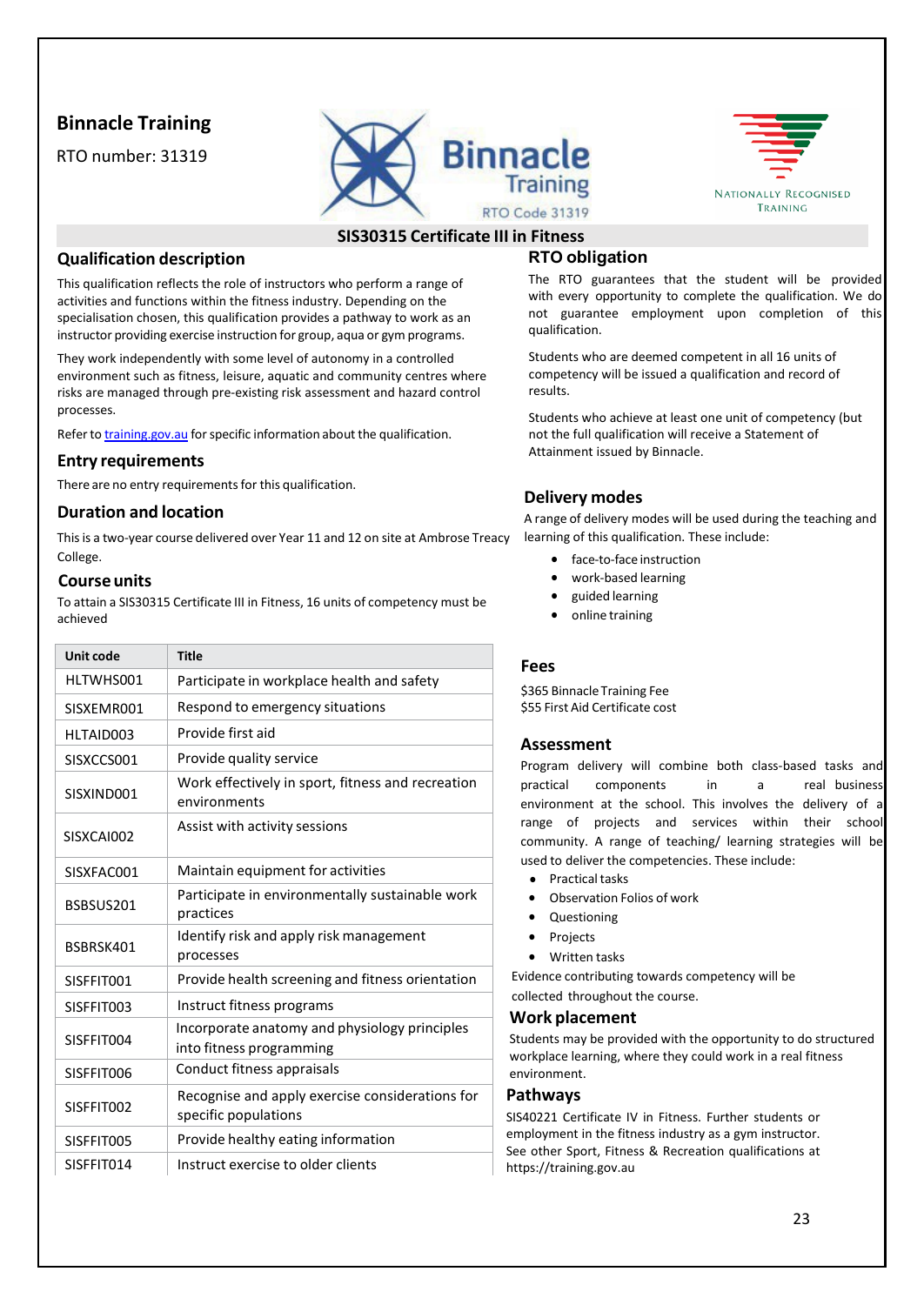# **Binnacle Training**

RTO number: 31319





# **SIS30315 Certificate III in Fitness**

# **Qualification description**

This qualification reflects the role of instructors who perform a range of activities and functions within the fitness industry. Depending on the specialisation chosen, this qualification provides a pathway to work as an instructor providing exercise instruction for group, aqua or gym programs.

They work independently with some level of autonomy in a controlled environment such as fitness, leisure, aquatic and community centres where risks are managed through pre-existing risk assessment and hazard control processes.

Refer to [training.gov.au](https://training.gov.au/) for specific information about the qualification.

#### **Entry requirements**

There are no entry requirements for this qualification.

#### **Duration and location**

This is a two-year course delivered over Year 11 and 12 on site at Ambrose Treacy College.

#### **Course units**

To attain a SIS30315 Certificate III in Fitness, 16 units of competency must be achieved

| <b>Unit code</b> | <b>Title</b>                                                              |
|------------------|---------------------------------------------------------------------------|
| HLTWHS001        | Participate in workplace health and safety                                |
| SISXEMR001       | Respond to emergency situations                                           |
| HLTAID003        | Provide first aid                                                         |
| SISXCCS001       | Provide quality service                                                   |
| SISXIND001       | Work effectively in sport, fitness and recreation<br>environments         |
| SISXCAI002       | Assist with activity sessions                                             |
| SISXFAC001       | Maintain equipment for activities                                         |
| BSBSUS201        | Participate in environmentally sustainable work<br>practices              |
| BSBRSK401        | Identify risk and apply risk management<br>processes                      |
| SISFFIT001       | Provide health screening and fitness orientation                          |
| SISFFIT003       | Instruct fitness programs                                                 |
| SISFFIT004       | Incorporate anatomy and physiology principles<br>into fitness programming |
| SISFFIT006       | Conduct fitness appraisals                                                |
| SISFFIT002       | Recognise and apply exercise considerations for<br>specific populations   |
| SISFFIT005       | Provide healthy eating information                                        |
| SISFFIT014       | Instruct exercise to older clients                                        |

# **RTO obligation**

The RTO guarantees that the student will be provided with every opportunity to complete the qualification. We do not guarantee employment upon completion of this qualification.

Students who are deemed competent in all 16 units of competency will be issued a qualification and record of results.

Students who achieve at least one unit of competency (but not the full qualification will receive a Statement of Attainment issued by Binnacle.

# **Delivery modes**

A range of delivery modes will be used during the teaching and learning of this qualification. These include:

- face-to-face instruction
- work-based learning
- guided learning
- online training

#### **Fees**

\$365 Binnacle Training Fee \$55 First Aid Certificate cost

## **Assessment**

Program delivery will combine both class-based tasks and practical components in a real-business environment at the school. This involves the delivery of a range of projects and services within their school community. A range of teaching/ learning strategies will be used to deliver the competencies. These include:

- Practical tasks
- Observation Folios of work
- Questioning
- Projects
- Written tasks

Evidence contributing towards competency will be collected throughout the course.

# **Work placement**

Students may be provided with the opportunity to do structured workplace learning, where they could work in a real fitness environment.

#### **Pathways**

SIS40221 Certificate IV in Fitness. Further students or employment in the fitness industry as a gym instructor. See other Sport, Fitness & Recreation qualifications at https://training.gov.au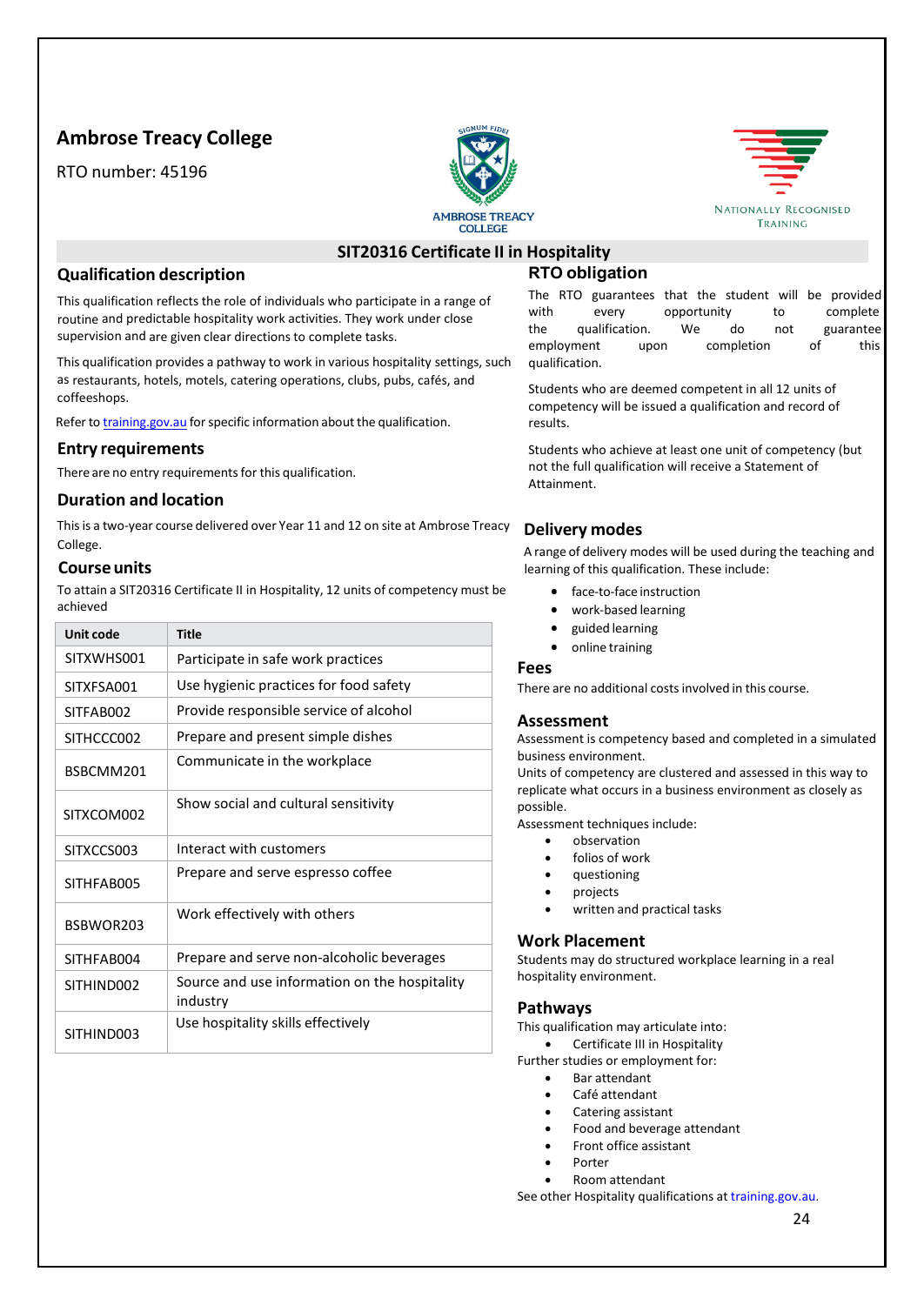# **Ambrose Treacy College**

RTO number: 45196





# **SIT20316 Certificate II in Hospitality**

#### **Qualification description**

This qualification reflects the role of individuals who participate in a range of routine and predictable hospitality work activities. They work under close supervision and are given clear directions to complete tasks.

This qualification provides a pathway to work in various hospitality settings, such as restaurants, hotels, motels, catering operations, clubs, pubs, cafés, and coffeeshops.

Refer to [training.gov.au](https://training.gov.au/) for specific information about the qualification.

#### **Entry requirements**

There are no entry requirements for this qualification.

#### **Duration and location**

Thisis a two-year course delivered over Year 11 and 12 on site at Ambrose Treacy College.

#### **Course units**

To attain a SIT20316 Certificate II in Hospitality, 12 units of competency must be achieved

| Unit code  | Title                                                     |
|------------|-----------------------------------------------------------|
| SITXWHS001 | Participate in safe work practices                        |
| SITXFSA001 | Use hygienic practices for food safety                    |
| SITFAB002  | Provide responsible service of alcohol                    |
| SITHCCC002 | Prepare and present simple dishes                         |
| BSBCMM201  | Communicate in the workplace                              |
| SITXCOM002 | Show social and cultural sensitivity                      |
| SITXCCS003 | Interact with customers                                   |
| SITHFAB005 | Prepare and serve espresso coffee                         |
| BSBWOR203  | Work effectively with others                              |
| SITHFAB004 | Prepare and serve non-alcoholic beverages                 |
| SITHIND002 | Source and use information on the hospitality<br>industry |
| SITHIND003 | Use hospitality skills effectively                        |

# **RTO obligation**

The RTO guarantees that the student will be provided with every opportunity to complete the qualification. We do not guarantee employment upon completion of this qualification.

Students who are deemed competent in all 12 units of competency will be issued a qualification and record of results.

Students who achieve at least one unit of competency (but not the full qualification will receive a Statement of Attainment.

## **Delivery modes**

A range of delivery modes will be used during the teaching and learning of this qualification. These include:

- face-to-face instruction
- work-based learning
- guided learning
- online training

#### **Fees**

There are no additional costsinvolved in this course.

## **Assessment**

Assessment is competency based and completed in a simulated business environment.

Units of competency are clustered and assessed in this way to replicate what occurs in a business environment as closely as possible.

Assessment techniques include:

- observation
- folios of work
- questioning
- projects
- written and practical tasks

#### **Work Placement**

Students may do structured workplace learning in a real hospitality environment.

#### **Pathways**

This qualification may articulate into:

- Certificate III in Hospitality
- Further studies or employment for:
	- Bar attendant
	- Café attendant
	- Catering assistant
	- Food and beverage attendant
	- Front office assistant
	- Porter • Room attendant

See other Hospitality qualifications at [training.gov.au.](https://training.gov.au/)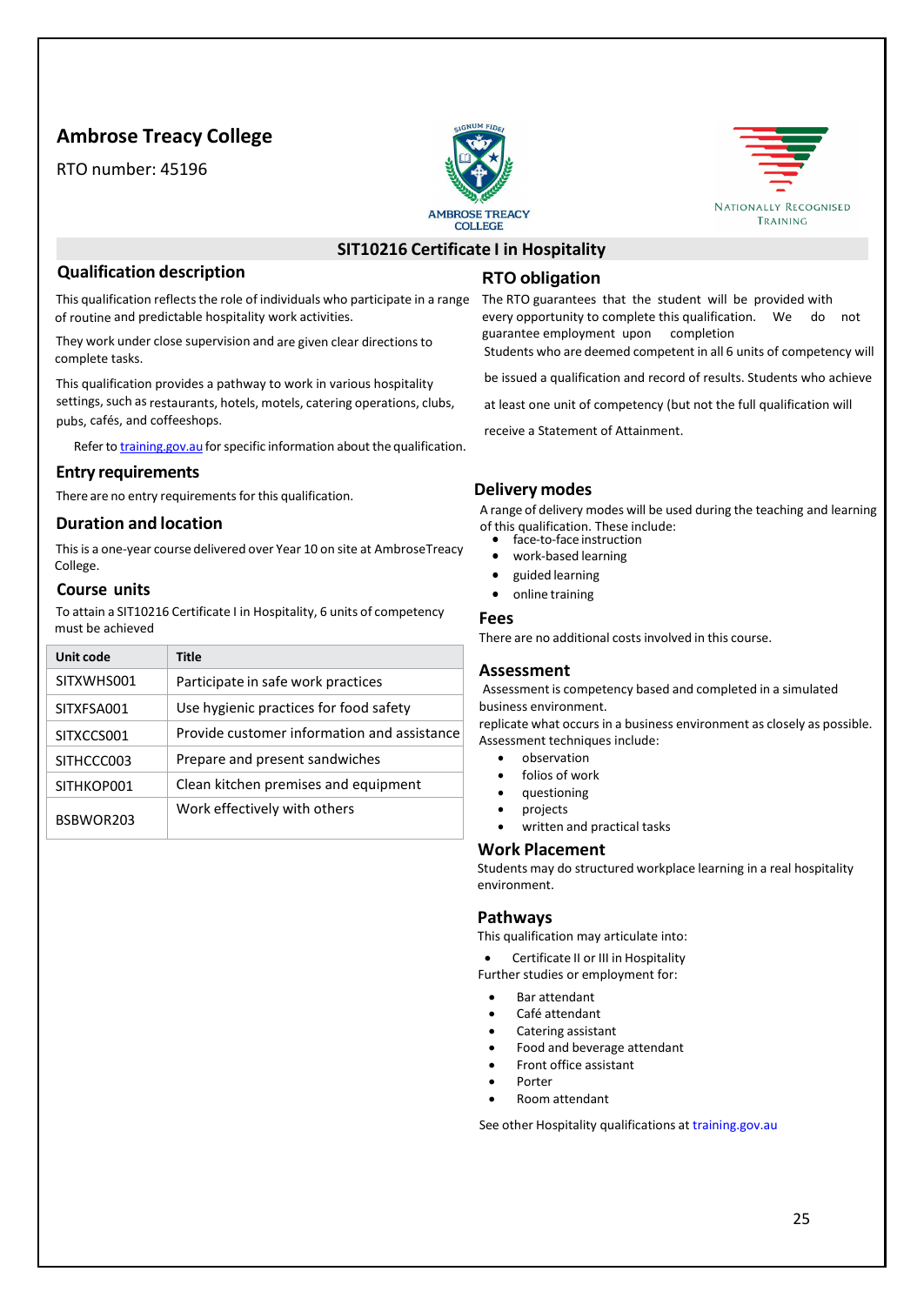# **Ambrose Treacy College**

RTO number: 45196





# **SIT10216 Certificate I in Hospitality**

#### **Qualification description**

This qualification reflects the role of individuals who participate in a range of routine and predictable hospitality work activities.

They work under close supervision and are given clear directions to complete tasks.

This qualification provides a pathway to work in various hospitality settings, such as restaurants, hotels, motels, catering operations, clubs, pubs, cafés, and coffeeshops.

Refer to [training.gov.au](https://training.gov.au/) for specific information about the qualification.

#### **Entry requirements**

There are no entry requirements for this qualification.

#### **Duration and location**

This is a one-year course delivered over Year 10 on site at AmbroseTreacy College.

#### **Course units**

To attain a SIT10216 Certificate I in Hospitality, 6 units of competency must be achieved

| Unit code  | <b>Title</b>                                |
|------------|---------------------------------------------|
| SITXWHS001 | Participate in safe work practices          |
| SITXFSA001 | Use hygienic practices for food safety      |
| SITXCCS001 | Provide customer information and assistance |
| SITHCCC003 | Prepare and present sandwiches              |
| SITHKOP001 | Clean kitchen premises and equipment        |
| BSBWOR203  | Work effectively with others                |

# **RTO obligation**

The RTO guarantees that the student will be provided with every opportunity to complete this qualification. We do not guarantee employment upon completion

Students who are deemed competent in all 6 units of competency will

be issued a qualification and record of results. Students who achieve

at least one unit of competency (but not the full qualification will

receive a Statement of Attainment.

#### **Delivery modes**

A range of delivery modes will be used during the teaching and learning of this qualification. These include: • face-to-face instruction

- 
- work-based learning
- guided learning
- online training

#### **Fees**

There are no additional costs involved in this course.

#### **Assessment**

Assessment is competency based and completed in a simulated business environment.

replicate what occurs in a business environment as closely as possible. Assessment techniques include:

- observation
- folios of work
- questioning
- projects
- written and practical tasks

#### **Work Placement**

Students may do structured workplace learning in a real hospitality environment.

#### **Pathways**

This qualification may articulate into:

• Certificate II or III in Hospitality

- Further studies or employment for:
- Bar attendant
- Café attendant
- Catering assistant
- Food and beverage attendant
- Front office assistant
- Porter
- Room attendant

See other Hospitality qualifications at training.gov.au